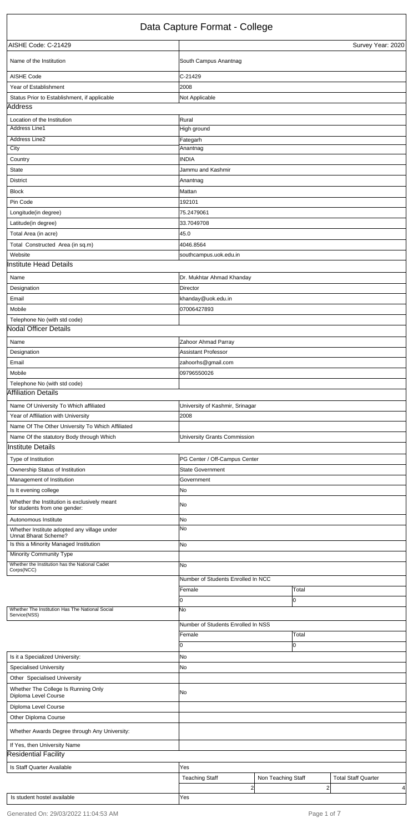## Data Capture Format - College

| AISHE Code: C-21429                                                           |                                                          | Survey Year: 2020 |
|-------------------------------------------------------------------------------|----------------------------------------------------------|-------------------|
| Name of the Institution                                                       | South Campus Anantnag                                    |                   |
| AISHE Code                                                                    | C-21429                                                  |                   |
| Year of Establishment                                                         | 2008                                                     |                   |
| Status Prior to Establishment, if applicable                                  | Not Applicable                                           |                   |
| Address                                                                       |                                                          |                   |
| Location of the Institution                                                   | Rural                                                    |                   |
| Address Line1                                                                 | High ground                                              |                   |
| <b>Address Line2</b>                                                          | Fategarh                                                 |                   |
| City                                                                          | Anantnag                                                 |                   |
| Country                                                                       | <b>INDIA</b>                                             |                   |
| State                                                                         | Jammu and Kashmir                                        |                   |
| <b>District</b>                                                               | Anantnag                                                 |                   |
| <b>Block</b>                                                                  | Mattan                                                   |                   |
| Pin Code                                                                      | 192101                                                   |                   |
| Longitude(in degree)                                                          | 75.2479061                                               |                   |
| Latitude(in degree)                                                           | 33.7049708                                               |                   |
| Total Area (in acre)                                                          | 45.0                                                     |                   |
| Total Constructed Area (in sq.m)                                              | 4046.8564                                                |                   |
| Website                                                                       | southcampus.uok.edu.in                                   |                   |
| <b>Institute Head Details</b>                                                 |                                                          |                   |
| Name                                                                          | Dr. Mukhtar Ahmad Khanday                                |                   |
| Designation                                                                   | <b>Director</b>                                          |                   |
| Email                                                                         | khanday@uok.edu.in                                       |                   |
| Mobile                                                                        | 07006427893                                              |                   |
| Telephone No (with std code)                                                  |                                                          |                   |
| <b>Nodal Officer Details</b>                                                  |                                                          |                   |
| Name                                                                          | Zahoor Ahmad Parray                                      |                   |
| Designation                                                                   | <b>Assistant Professor</b>                               |                   |
| Email                                                                         | zahoorhs@gmail.com                                       |                   |
| Mobile                                                                        | 09796550026                                              |                   |
| Telephone No (with std code)                                                  |                                                          |                   |
| Affiliation Details                                                           |                                                          |                   |
| Name Of University To Which affiliated                                        | University of Kashmir, Srinagar                          |                   |
| Year of Affiliation with University                                           | 2008                                                     |                   |
| Name Of The Other University To Which Affiliated                              |                                                          |                   |
| Name Of the statutory Body through Which                                      | University Grants Commission                             |                   |
| <b>Institute Details</b>                                                      |                                                          |                   |
|                                                                               |                                                          |                   |
| Type of Institution                                                           | PG Center / Off-Campus Center<br><b>State Government</b> |                   |
| Ownership Status of Institution<br>Management of Institution                  | Government                                               |                   |
| Is It evening college                                                         | No                                                       |                   |
| Whether the Institution is exclusively meant<br>for students from one gender: | No                                                       |                   |
| Autonomous Institute                                                          | No                                                       |                   |
| Whether Institute adopted any village under                                   | No                                                       |                   |
| Unnat Bharat Scheme?                                                          |                                                          |                   |
| Is this a Minority Managed Institution                                        | No.                                                      |                   |
| <b>Minority Community Type</b>                                                |                                                          |                   |
| Whether the Institution has the National Cadet<br>Corps(NCC)                  | No                                                       |                   |
|                                                                               | Number of Students Enrolled In NCC                       |                   |
|                                                                               | Female                                                   | Total             |
|                                                                               | 0                                                        | IО                |
| Whether The Institution Has The National Social<br>Service(NSS)               | N٥                                                       |                   |
|                                                                               |                                                          |                   |

|                                                             | Number of Students Enrolled In NSS |                    |                            |
|-------------------------------------------------------------|------------------------------------|--------------------|----------------------------|
|                                                             | Female                             | Total              |                            |
|                                                             |                                    |                    |                            |
| Is it a Specialized University:                             | No                                 |                    |                            |
| <b>Specialised University</b>                               | No                                 |                    |                            |
| Other Specialised University                                |                                    |                    |                            |
| Whether The College Is Running Only<br>Diploma Level Course | No.                                |                    |                            |
| Diploma Level Course                                        |                                    |                    |                            |
| Other Diploma Course                                        |                                    |                    |                            |
| Whether Awards Degree through Any University:               |                                    |                    |                            |
| If Yes, then University Name                                |                                    |                    |                            |
| <b>Residential Facility</b>                                 |                                    |                    |                            |
| Is Staff Quarter Available                                  | Yes                                |                    |                            |
|                                                             | <b>Teaching Staff</b>              | Non Teaching Staff | <b>Total Staff Quarter</b> |
|                                                             |                                    | 2                  | $\overline{2}$<br>4        |
| Is student hostel available                                 | Yes                                |                    |                            |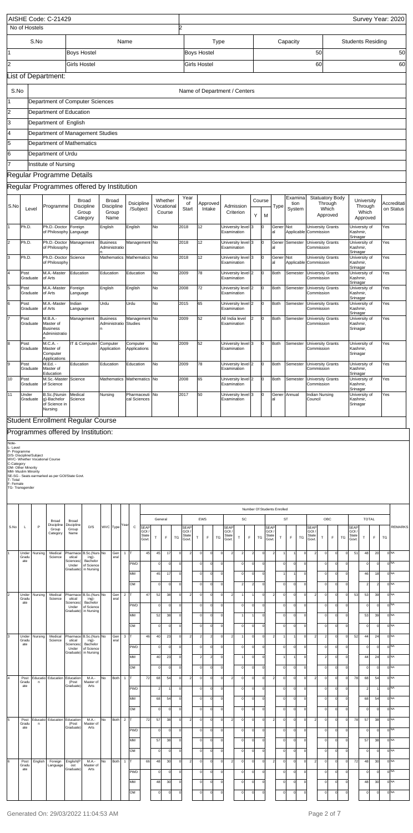|                                                                                                                                       |                       |                         | AISHE Code: C-21429                                                              |                                                         |                                      |                                                |                                            |                                       |                                                                                                                                                                                                                                           |                                              |                                                                               |                               |                          |                               |                                                       |                |                                            |                                                    |                                       | Survey Year: 2020                   |                                    |                          |
|---------------------------------------------------------------------------------------------------------------------------------------|-----------------------|-------------------------|----------------------------------------------------------------------------------|---------------------------------------------------------|--------------------------------------|------------------------------------------------|--------------------------------------------|---------------------------------------|-------------------------------------------------------------------------------------------------------------------------------------------------------------------------------------------------------------------------------------------|----------------------------------------------|-------------------------------------------------------------------------------|-------------------------------|--------------------------|-------------------------------|-------------------------------------------------------|----------------|--------------------------------------------|----------------------------------------------------|---------------------------------------|-------------------------------------|------------------------------------|--------------------------|
|                                                                                                                                       |                       | No of Hostels           |                                                                                  |                                                         |                                      |                                                |                                            |                                       | Þ.                                                                                                                                                                                                                                        |                                              |                                                                               |                               |                          |                               |                                                       |                |                                            |                                                    |                                       |                                     |                                    |                          |
|                                                                                                                                       |                       | S.No                    |                                                                                  |                                                         |                                      |                                                | Name                                       |                                       |                                                                                                                                                                                                                                           | <b>Type</b>                                  |                                                                               |                               |                          |                               | Capacity                                              |                |                                            |                                                    | <b>Students Residing</b>              |                                     |                                    |                          |
| 1                                                                                                                                     |                       |                         |                                                                                  | <b>Boys Hostel</b>                                      |                                      |                                                |                                            |                                       |                                                                                                                                                                                                                                           | <b>Boys Hostel</b>                           |                                                                               |                               |                          |                               |                                                       | 50             |                                            |                                                    |                                       |                                     |                                    | 50                       |
| 2                                                                                                                                     |                       |                         |                                                                                  | <b>Girls Hostel</b>                                     |                                      |                                                |                                            |                                       |                                                                                                                                                                                                                                           | Girls Hostel                                 |                                                                               |                               |                          |                               |                                                       | 60             |                                            |                                                    |                                       |                                     |                                    | 60                       |
|                                                                                                                                       |                       |                         | List of Department:                                                              |                                                         |                                      |                                                |                                            |                                       |                                                                                                                                                                                                                                           |                                              |                                                                               |                               |                          |                               |                                                       |                |                                            |                                                    |                                       |                                     |                                    |                          |
|                                                                                                                                       |                       |                         |                                                                                  |                                                         |                                      |                                                |                                            |                                       |                                                                                                                                                                                                                                           |                                              |                                                                               |                               |                          |                               |                                                       |                |                                            |                                                    |                                       |                                     |                                    |                          |
| S.No<br>1                                                                                                                             |                       |                         |                                                                                  |                                                         |                                      |                                                |                                            |                                       |                                                                                                                                                                                                                                           |                                              | Name of Department / Centers                                                  |                               |                          |                               |                                                       |                |                                            |                                                    |                                       |                                     |                                    |                          |
| 2                                                                                                                                     |                       |                         | Department of Computer Sciences<br>Department of Education                       |                                                         |                                      |                                                |                                            |                                       |                                                                                                                                                                                                                                           |                                              |                                                                               |                               |                          |                               |                                                       |                |                                            |                                                    |                                       |                                     |                                    |                          |
| $\overline{3}$                                                                                                                        |                       |                         | Department of English                                                            |                                                         |                                      |                                                |                                            |                                       |                                                                                                                                                                                                                                           |                                              |                                                                               |                               |                          |                               |                                                       |                |                                            |                                                    |                                       |                                     |                                    |                          |
| 4                                                                                                                                     |                       |                         | Department of Management Studies                                                 |                                                         |                                      |                                                |                                            |                                       |                                                                                                                                                                                                                                           |                                              |                                                                               |                               |                          |                               |                                                       |                |                                            |                                                    |                                       |                                     |                                    |                          |
| $\overline{5}$                                                                                                                        |                       |                         | Department of Mathematics                                                        |                                                         |                                      |                                                |                                            |                                       |                                                                                                                                                                                                                                           |                                              |                                                                               |                               |                          |                               |                                                       |                |                                            |                                                    |                                       |                                     |                                    |                          |
| 6                                                                                                                                     |                       |                         | Department of Urdu                                                               |                                                         |                                      |                                                |                                            |                                       |                                                                                                                                                                                                                                           |                                              |                                                                               |                               |                          |                               |                                                       |                |                                            |                                                    |                                       |                                     |                                    |                          |
| 17                                                                                                                                    |                       |                         | Institute of Nursing                                                             |                                                         |                                      |                                                |                                            |                                       |                                                                                                                                                                                                                                           |                                              |                                                                               |                               |                          |                               |                                                       |                |                                            |                                                    |                                       |                                     |                                    |                          |
|                                                                                                                                       |                       |                         | Regular Programme Details                                                        |                                                         |                                      |                                                |                                            |                                       |                                                                                                                                                                                                                                           |                                              |                                                                               |                               |                          |                               |                                                       |                |                                            |                                                    |                                       |                                     |                                    |                          |
|                                                                                                                                       |                       |                         | Regular Programmes offered by Institution                                        |                                                         |                                      |                                                |                                            |                                       |                                                                                                                                                                                                                                           |                                              |                                                                               |                               |                          |                               |                                                       |                |                                            |                                                    |                                       |                                     |                                    |                          |
| S.No                                                                                                                                  |                       | Level                   | Programme                                                                        |                                                         | Broad<br><b>Discipline</b><br>Group  | <b>Broad</b><br><b>Discipline</b><br>Group     | <b>Dsicipline</b><br>/Subject              | Whether<br>Vocational<br>Course       | Year<br>of<br>Start                                                                                                                                                                                                                       | Approved<br>Intake                           | Admission<br>Criterion                                                        |                               | Course                   | Type                          | Examina<br>tion<br>System                             |                | <b>Statuatory Body</b><br>Through<br>Which |                                                    |                                       | University<br>Through<br>Which      |                                    | Accreditati<br>on Status |
| $\vert$ 1                                                                                                                             | Ph.D.                 |                         | Ph.D.-Doctor                                                                     | Foreign                                                 | Category                             | Name<br>English                                | English                                    | No                                    | 2018                                                                                                                                                                                                                                      | 12                                           | University level 3                                                            | Y                             | м                        | Gener                         | Not                                                   |                | Approved<br><b>University Grants</b>       |                                                    | Jniversity of                         | Approved                            | Yes                                |                          |
| $\overline{2}$                                                                                                                        | Ph.D.                 |                         | of Philosophy Language<br>Ph.D.-Doctor                                           | Management                                              |                                      | <b>Business</b>                                | Management No                              |                                       | 2018                                                                                                                                                                                                                                      | 12                                           | Examination<br>University level 3                                             |                               |                          | lal<br>Gener                  | Applicable Commission<br>Semester                     |                | <b>University Grants</b>                   |                                                    | Kashmir,<br>Srinagar<br>University of |                                     | Yes                                |                          |
|                                                                                                                                       |                       |                         | of Philosophy                                                                    |                                                         |                                      | Administratio                                  |                                            |                                       |                                                                                                                                                                                                                                           |                                              | Examination<br>University level 3                                             |                               |                          | lal<br>Gener Not              |                                                       | Commission     |                                            |                                                    | Kashmir,<br>Srinagar                  |                                     |                                    |                          |
| $\overline{3}$                                                                                                                        | Ph.D.                 |                         | Ph.D.-Doctor Science<br>of Philosophy                                            |                                                         |                                      | Mathematics                                    | Mathematics No                             |                                       | 2018                                                                                                                                                                                                                                      | 12                                           |                                                                               | University Grants             |                          | University of                 |                                                       | Yes            |                                            |                                                    |                                       |                                     |                                    |                          |
| 4                                                                                                                                     | Post<br>Graduate      |                         | M.A.-Master<br>of Arts                                                           | Education                                               |                                      | Education                                      | Education                                  | No                                    | Examination<br>Applicable Commission<br>Kashmir,<br>lal<br>Srinagar<br>2009<br>78<br><b>Both</b><br>University of<br>University level 2<br>Semester<br><b>University Grants</b><br>O<br>Examination<br>Commission<br>Kashmir,<br>Srinagar |                                              |                                                                               |                               |                          |                               |                                                       |                |                                            |                                                    |                                       |                                     | Yes                                |                          |
| 5                                                                                                                                     | Post<br>Graduate      |                         | M.A.-Master<br>of Arts                                                           | Foreign<br>Language                                     |                                      | English                                        | English                                    | No                                    | 2008                                                                                                                                                                                                                                      | 72                                           | University level 2<br>Examination                                             |                               |                          | <b>Both</b>                   | Semester                                              | Commission     | <b>University Grants</b>                   |                                                    | University of<br>Kashmir,<br>Srinagar |                                     | Yes                                |                          |
| 6                                                                                                                                     | Post<br>Graduate      |                         | M.A.-Master<br>of Arts                                                           | Indian<br>Language                                      |                                      | Urdu                                           | Urdu                                       | No                                    | 2015                                                                                                                                                                                                                                      | 65                                           | University level 2<br>Examination                                             |                               |                          | <b>Both</b>                   | Semester                                              | Commission     | <b>University Grants</b>                   |                                                    | University of<br>Kashmir,<br>Srinagar |                                     | Yes                                |                          |
| 7                                                                                                                                     | Post                  | Graduate                | M.B.A.-<br>Master of<br><b>Business</b><br>Administratio                         | Management                                              |                                      | <b>Business</b><br>Administratio Studies<br>In | Management No                              |                                       | 2009                                                                                                                                                                                                                                      | 52                                           | All India level<br>Examination                                                |                               | l0                       | <b>Both</b>                   | Semester                                              | Commission     | <b>University Grants</b>                   |                                                    | University of<br>Kashmir,<br>Srinagar |                                     | Yes                                |                          |
| 8                                                                                                                                     | Post<br>Graduate      |                         | M.C.A. -<br>Master of<br>Computer                                                |                                                         | IT & Computer                        | Computer<br>Application                        | Computer<br>Applications                   | No                                    | 2009                                                                                                                                                                                                                                      | 52                                           | University level 3<br>Examination                                             |                               | l0                       | <b>Both</b>                   | Semester                                              | Commission     | <b>University Grants</b>                   |                                                    | University of<br>Kashmir,<br>Srinagar |                                     | Yes                                |                          |
| 9                                                                                                                                     | Post<br>Graduate      |                         | Applications<br>M.Ed. -<br>Master of<br>Education                                | Education                                               |                                      | Education                                      | Education                                  | No                                    | 2009                                                                                                                                                                                                                                      | 78                                           | University level 2<br>Examination                                             |                               | ŋ                        | <b>Both</b>                   | Semester                                              | Commission     | <b>University Grants</b>                   |                                                    | University of<br>Kashmir,<br>Srinagar |                                     | Yes                                |                          |
| 10                                                                                                                                    | Post<br>Graduate      |                         | M.Sc.-Master Science<br>of Science                                               |                                                         |                                      | Mathematics                                    | Mathematics                                | No                                    | 2008                                                                                                                                                                                                                                      | 65                                           | University level 2<br>Examination                                             |                               | l0                       | <b>Both</b>                   | Semester                                              | Commission     | <b>University Grants</b>                   |                                                    | University of<br>Kashmir,<br>Srinagar |                                     | Yes                                |                          |
| 11                                                                                                                                    | Under<br>Graduate     |                         | B.Sc.(Nursin<br>g)-Bachelor<br>of Science in<br>Nursing                          | Medical<br>Science                                      |                                      | Nursing                                        | Pharmaceuti No<br>cal Sciences             |                                       | 2017                                                                                                                                                                                                                                      | 50                                           | University level 3<br>Examination                                             |                               |                          | lal                           | Gener Annual                                          | Council        | Indian Nursing                             |                                                    | University of<br>Kashmir,<br>Srinagar |                                     | Yes                                |                          |
|                                                                                                                                       |                       |                         | Student Enrollment Regular Course                                                |                                                         |                                      |                                                |                                            |                                       |                                                                                                                                                                                                                                           |                                              |                                                                               |                               |                          |                               |                                                       |                |                                            |                                                    |                                       |                                     |                                    |                          |
|                                                                                                                                       |                       |                         | Programmes offered by Institution:                                               |                                                         |                                      |                                                |                                            |                                       |                                                                                                                                                                                                                                           |                                              |                                                                               |                               |                          |                               |                                                       |                |                                            |                                                    |                                       |                                     |                                    |                          |
| Note-<br>L-Level<br>P- Programme<br>C-Category<br>OM- Other Minority<br>MM- Muslim Minority<br>T-Total<br>F- Female<br>TG-Transgender |                       | D/S- Discipline/Subject | WVC- Whether Vocational Course<br>SE-SG - Seats earmarked as per GOI/State Govt. |                                                         |                                      |                                                |                                            |                                       |                                                                                                                                                                                                                                           |                                              |                                                                               |                               |                          |                               |                                                       |                |                                            |                                                    |                                       |                                     |                                    |                          |
|                                                                                                                                       |                       |                         |                                                                                  |                                                         |                                      |                                                |                                            |                                       |                                                                                                                                                                                                                                           |                                              |                                                                               |                               |                          |                               |                                                       |                |                                            |                                                    |                                       |                                     |                                    |                          |
|                                                                                                                                       |                       |                         |                                                                                  |                                                         |                                      |                                                |                                            |                                       |                                                                                                                                                                                                                                           |                                              |                                                                               |                               |                          | Number Of Students Enrolled   |                                                       |                |                                            |                                                    |                                       |                                     |                                    |                          |
| S.No                                                                                                                                  | L                     | P                       | Broad<br>Discipline<br>Group<br>Category                                         | Broad<br>Discipline<br>Group<br>Name                    | D/S                                  | WVC Type                                       | Year<br>$\mathsf C$<br><b>SEAP</b><br>GOI. | General                               | <b>EWS</b><br>SC<br><b>ST</b><br>OBC<br><b>TOTAL</b><br><b>SEAP</b><br>SEAF<br><b>SEAP</b><br><b>SEAP</b><br>SEAF<br>GOI<br>GOI<br>GOI.<br><b>GOI</b><br><b>GOI</b><br>State                                                              |                                              |                                                                               |                               |                          |                               |                                                       |                |                                            |                                                    |                                       |                                     | <b>REMARKS</b>                     |                          |
|                                                                                                                                       |                       |                         |                                                                                  |                                                         |                                      |                                                | State<br>Govt.                             | т<br>TG<br>F                          | State<br>Govt                                                                                                                                                                                                                             | TG<br>т<br>F                                 | State<br>T<br>Govt.                                                           | F<br>TG                       | Govt.                    | т                             | F<br>TG                                               | State<br>Govt  | T<br>$\mathsf F$                           | TG                                                 | <b>State</b><br>Τ<br>Govt.            | F                                   | TG                                 |                          |
|                                                                                                                                       | Under<br>Gradu<br>ate | Nursing                 | Medical<br>Science                                                               | Pharmace B.Sc. (Nurs No<br>utical<br>Sciences(<br>Under | ing)-<br>Bachelor<br>of Science      | Gen<br>eral                                    | $\mathbf{1}$<br>PWD                        | 45<br>45<br>17<br>$\circ$<br>$\Omega$ | $\overline{2}$<br>$\mathbf 0$<br>$\mathbf{0}$                                                                                                                                                                                             | $\Omega$<br>$\Omega$<br>$\Omega$<br>$\Omega$ | $\overline{2}$<br>$\overline{2}$<br>$\mathbf 0$<br>$\overline{0}$<br>$\Omega$ | $\overline{2}$<br>$\mathbf 0$ | $\Omega$<br><sup>0</sup> | $\overline{2}$<br>$\Omega$    | $\overline{1}$<br>$\Omega$<br>$\mathbf 0$<br>$\Omega$ | 2              | $\Omega$<br>$\Omega$                       | $\mathbf 0$<br>$\Omega$<br>$\mathbf 0$<br>$\Omega$ | 51                                    | 48<br>20<br>$\mathbf 0$<br>$\Omega$ | 0 <sup>NA</sup><br>0 <sup>NA</sup> |                          |
|                                                                                                                                       |                       |                         |                                                                                  | Graduate)                                               | in Nursing                           |                                                | MM                                         | 45<br>17                              | $\mathbf{0}$                                                                                                                                                                                                                              | $\mathbf 0$<br>$\mathbf 0$                   | $\Omega$<br>$\Omega$                                                          | $\mathbf 0$                   | $\mathbf 0$              |                               | $\overline{1}$<br>$\Omega$                            |                | $\Omega$                                   | $\mathbf 0$<br>$\Omega$                            |                                       | 46<br>18                            | 0 <sup>NA</sup>                    |                          |
|                                                                                                                                       |                       |                         |                                                                                  |                                                         |                                      |                                                | <b>OM</b>                                  | $\circ$<br>$\Omega$                   | $\mathbf{0}$                                                                                                                                                                                                                              | 0 <sup>1</sup><br>$\mathbf 0$                | $\mathbf 0$<br>$\overline{2}$                                                 | $\overline{\phantom{0}}$      | $\mathbf 0$              | $\mathbf 0$                   | $\mathbf 0$<br>$\Omega$                               |                | $\mathbf 0$                                | $\mathbf 0$<br>$\Omega$                            |                                       | $\overline{2}$<br>$\overline{a}$    | 0 <sup>NA</sup>                    |                          |
| $\overline{2}$                                                                                                                        | Under<br>Gradu        | Nursing                 | Medical<br>Science                                                               | Pharmace B.Sc.(Nurs No<br>utical                        | ing)-                                | Gen<br>eral                                    | $\overline{2}$                             | 47<br>52<br>38                        | $\overline{2}$<br>$\mathbf 0$                                                                                                                                                                                                             | $\circ$<br>$\Omega$                          | $\mathbf 0$<br>$\overline{2}$                                                 |                               | $\Omega$                 | $\overline{2}$<br>$\mathbf 0$ | $\mathbf 0$<br>$\Omega$                               | $\overline{2}$ | $\Omega$                                   | $\mathbf 0$<br>$\Omega$                            | 53                                    | 53<br>39                            | 0 <sup>NA</sup>                    |                          |
|                                                                                                                                       | ate                   |                         |                                                                                  | Sciences(<br>Under<br>Graduate)                         | Bachelor<br>of Science<br>in Nursing |                                                | <b>PWD</b>                                 | $\circ$<br>$\Omega$                   | $\mathbf{0}$                                                                                                                                                                                                                              | $\circ$<br>$\Omega$                          | $\mathbf 0$<br>$\Omega$                                                       | $\Omega$                      | $\Omega$                 | $\Omega$                      | $\mathbf 0$<br>$\mathbf 0$                            |                | $\Omega$                                   | $\mathbf 0$<br>$\Omega$                            |                                       | $\circ$<br>0                        | 0 <sup>NA</sup>                    |                          |
|                                                                                                                                       |                       |                         |                                                                                  |                                                         |                                      |                                                | <b>MM</b>                                  | 52<br>38                              | $\Omega$                                                                                                                                                                                                                                  | $\mathbf 0$                                  | $\Omega$                                                                      |                               |                          |                               | $\Omega$                                              |                |                                            | $\Omega$                                           |                                       | 53<br>39                            | 0 <sup>NA</sup>                    |                          |

|    |               |               |                     |                                       |                                                |           |               |                  | OM         |    | $\circ$        | O               |             |                |                          | $\Omega$       | $\Omega$     |                |          | $\Omega$ |          |                | $\Omega$ |          |          |                |                | $\Omega$ | $\Omega$     |    | $\circ$       | $\mathbf{0}$ | 0 NA            |
|----|---------------|---------------|---------------------|---------------------------------------|------------------------------------------------|-----------|---------------|------------------|------------|----|----------------|-----------------|-------------|----------------|--------------------------|----------------|--------------|----------------|----------|----------|----------|----------------|----------|----------|----------|----------------|----------------|----------|--------------|----|---------------|--------------|-----------------|
| 3  | Gradu         | Under Nursing | Medical<br>Science  | utical                                | Pharmace B.Sc.(Nurs No<br>ing)-                |           | I Gen<br>eral | $3 \text{ T}$    |            | 46 | 40             | 23              | $\Omega$    | $\overline{2}$ | $\overline{\phantom{a}}$ | $\overline{2}$ | $\Omega$     | $\mathfrak{p}$ |          | $\Omega$ | $\Omega$ | $\overline{2}$ |          |          | $\Omega$ | 2              | $\overline{2}$ | $\Omega$ | $\Omega$     | 52 | 44            | 24           | n <sub>NA</sub> |
|    | ate           |               |                     | Sciences(<br>Under                    | Bachelor<br>of Science<br>Graduate) in Nursing |           |               |                  | <b>PWD</b> |    | $\Omega$       | $\Omega$        | $\Omega$    |                | $\Omega$                 | $\Omega$       | <sup>0</sup> |                |          | $\Omega$ | $\Omega$ |                | $\Omega$ | $\Omega$ | $\Omega$ |                | $\Omega$       | $\circ$  | 0l           |    |               |              | n <sub>NA</sub> |
|    |               |               |                     |                                       |                                                |           |               |                  | <b>MM</b>  |    | 40             | 23              | $\Omega$    |                | $\overline{2}$           | $\overline{2}$ | <sup>0</sup> |                |          | $\Omega$ | $\Omega$ |                |          |          | $\Omega$ |                | $\overline{2}$ | $\circ$  | <sup>0</sup> |    | 44            | 24           | $n$ NA          |
|    |               |               |                     |                                       |                                                |           |               |                  | OM         |    | $\circ$        | $\Omega$        | $\mathbf 0$ |                | $\Omega$                 | $\mathbf 0$    | $\circ$      |                | $\Omega$ | $\Omega$ | $\Omega$ |                | $\circ$  | $\Omega$ | $\Omega$ |                | $\Omega$       | $\circ$  | <sup>0</sup> |    | $\Omega$      | $\Omega$     | n <sub>NA</sub> |
| 4  | Post<br>Gradu | n             |                     | Educatio Education Education<br>(Post | M.A.-<br>Master of                             | <b>No</b> | Both          | $1 \overline{1}$ |            | 72 | 68             | 54              | $\Omega$    | 2              | $\Omega$                 | $\mathbf 0$    | $\Omega$     | $\overline{2}$ | $\Omega$ | $\Omega$ | $\Omega$ | $\overline{2}$ | $\Omega$ | $\Omega$ | $\Omega$ | $\overline{2}$ | $\Omega$       | $\circ$  | $\Omega$     | 78 | 68            | 54           | 0 <sup>NA</sup> |
|    | ate           |               |                     | Graduate)                             | Arts                                           |           |               |                  | <b>PWD</b> |    | $\overline{2}$ | $\mathbf{1}$    | $\Omega$    |                | $\Omega$                 | $^{\circ}$     | 0I           |                | $\Omega$ | $\Omega$ | $\Omega$ |                | $\Omega$ | $\Omega$ | $\Omega$ |                | $\Omega$       | $\circ$  | -ol          |    | $\mathcal{P}$ |              | n <sub>NA</sub> |
|    |               |               |                     |                                       |                                                |           |               |                  | <b>MM</b>  |    | 68             | 54              |             |                | $\Omega$                 | $^{\circ}$     | 0l           |                |          | $\Omega$ | $\Omega$ |                | $\circ$  | $\Omega$ | $\Omega$ |                | $\Omega$       | $\circ$  | οI           |    | 68            | 54           | 0 <sup>NA</sup> |
|    |               |               |                     |                                       |                                                |           |               |                  | OM         |    | $\Omega$       | $\Omega$        | $\Omega$    |                | $\Omega$                 | $\Omega$       | 0l           |                |          | $\Omega$ | C        |                | $\Omega$ | n        | $\Omega$ |                | $\Omega$       | $\Omega$ | $\Omega$     |    | $\Omega$      | $\Omega$     | n <sub>NA</sub> |
| 5  | Post<br>Gradu | $\mathsf{n}$  |                     | Educatio Education Education<br>(Post | M.A.-<br>Master of                             | <b>No</b> | Both          | $2$ T            |            | 72 | 57             | 38 <sup>l</sup> | $\Omega$    | $\overline{2}$ | $\Omega$                 | $\Omega$       | $\Omega$     | $\mathfrak{p}$ |          | $\Omega$ | $\Omega$ | $\overline{2}$ | $\Omega$ | $\Omega$ | $\Omega$ | $\overline{2}$ | $\Omega$       | $\circ$  | $\circ$      | 78 | 57            | 38           | n <sub>NA</sub> |
|    | ate           |               |                     | Graduate)                             | Arts                                           |           |               |                  | <b>PWD</b> |    | $\circ$        | $\Omega$        | $\Omega$    |                | $\Omega$                 | $\mathbf 0$    | $\Omega$     |                |          | $\Omega$ | $\Omega$ |                | $\Omega$ | $\Omega$ | $\Omega$ |                | $\Omega$       | $\Omega$ | 0l           |    | $\Omega$      | $\sim$       | n <sub>NA</sub> |
|    |               |               |                     |                                       |                                                |           |               |                  | MM         |    | 57             | 38              | $\Omega$    |                | $\Omega$                 | $\mathbf 0$    | 0l           |                | $\Omega$ | $\Omega$ | $\Omega$ |                | $\circ$  | $\Omega$ | $\Omega$ |                | $\Omega$       | $\circ$  | -ol          |    | 57            | 38           | 0 <sub>NA</sub> |
|    |               |               |                     |                                       |                                                |           |               |                  | OM         |    | $\circ$        | $\Omega$        | $\Omega$    |                | $\Omega$                 | $\Omega$       | ΩI           |                |          | $\Omega$ | C        |                | $\circ$  | n        | $\Omega$ |                | $\Omega$       | $\circ$  | 0l           |    | $\Omega$      | $\Omega$     | n <sub>NA</sub> |
| l6 | Post<br>Gradu | English       | Foreign<br>Language | English(P<br>ost                      | M.A.-<br>Master of                             | <b>No</b> | Both          | $\overline{1}$   | Iт         | 66 | 48             | 30              |             | 2              | $\Omega$                 | $\Omega$       | $\Omega$     | $\mathcal{P}$  |          | $\Omega$ | c        | $\overline{2}$ | $\Omega$ | n        | $\Omega$ | 2              | $\Omega$       | $\circ$  | $\circ$      | 72 | 48            | 30           | n <sub>NA</sub> |
|    | ate           |               |                     | Graduate)                             | Arts                                           |           |               |                  | <b>PWD</b> |    | $\Omega$       | $\Omega$        | $\Omega$    |                | $\Omega$                 | $\Omega$       | <sub>0</sub> |                |          | $\Omega$ | $\Omega$ |                | $\Omega$ | $\Omega$ | $\Omega$ |                | $\Omega$       | $\Omega$ | -ol          |    | $\Omega$      | $\Omega$     | n <sub>NA</sub> |
|    |               |               |                     |                                       |                                                |           |               |                  | <b>MM</b>  |    | 48             | 30              | $\Omega$    |                | $\Omega$                 | $\mathbf 0$    | 0l           |                | $\Omega$ | $\Omega$ | $\Omega$ |                | $\circ$  | $\Omega$ | $\Omega$ |                | $\Omega$       | $\circ$  | -ol          |    | 48            | 30           | n <sub>NA</sub> |
|    |               |               |                     |                                       |                                                |           |               |                  | OM         |    | $\circ$        | $\Omega$        | $\Omega$    |                | $\Omega$                 | $\mathbf 0$    | 0l           |                |          | $\Omega$ | $\Omega$ |                | $\circ$  | $\Omega$ | $\Omega$ |                | $\Omega$       | $\circ$  | $\Omega$     |    | $\Omega$      | $\Omega$     | n <sub>NA</sub> |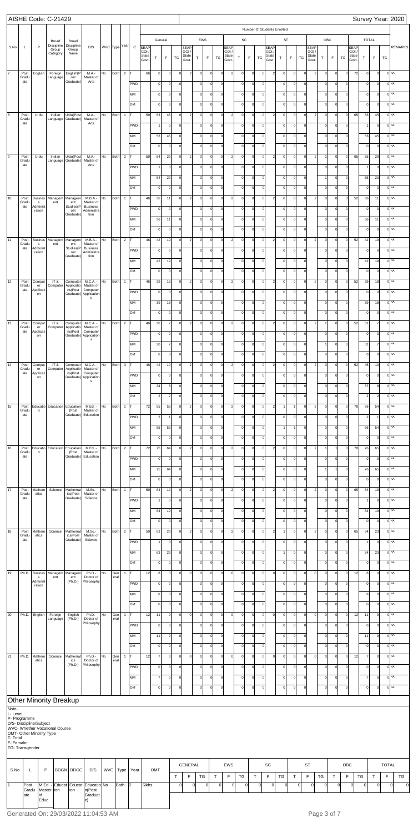|                       |                      |                           | AISHE Code: C-21429            |                                                    |                                                   |               |             |                |                  |                      |                                |                                  |             |                                                        |                    |                        |                     |                          |                     |                         |                            |                             |                    |                         |                        |                     |                             |                            |                               |                    |                      |                      |              | Survey Year: 2020                  |
|-----------------------|----------------------|---------------------------|--------------------------------|----------------------------------------------------|---------------------------------------------------|---------------|-------------|----------------|------------------|----------------------|--------------------------------|----------------------------------|-------------|--------------------------------------------------------|--------------------|------------------------|---------------------|--------------------------|---------------------|-------------------------|----------------------------|-----------------------------|--------------------|-------------------------|------------------------|---------------------|-----------------------------|----------------------------|-------------------------------|--------------------|----------------------|----------------------|--------------|------------------------------------|
|                       |                      |                           |                                |                                                    |                                                   |               |             |                |                  |                      |                                | General                          |             |                                                        |                    | EWS                    |                     |                          | SC                  |                         |                            | Number Of Students Enrolled |                    | ST                      |                        |                     |                             | OBC                        |                               |                    |                      | <b>TOTAL</b>         |              |                                    |
| S.No                  | L                    | P                         | Broad<br>Discipline<br>Group   | Broad<br>Discipline<br>Group                       | D/S                                               | WVC Type Year |             |                | $\mathtt{C}$     | <b>SEAP</b><br>GOI / |                                |                                  |             | SEAP<br>GOI /                                          |                    |                        |                     | <b>SEAP</b><br>GOI       |                     |                         |                            | <b>SEAP</b><br>GOI/         |                    |                         |                        | <b>SEAP</b><br>GOI. |                             |                            |                               | SEAF<br><b>GOI</b> |                      |                      |              | <b>REMARKS</b>                     |
|                       |                      |                           | Category                       | Name                                               |                                                   |               |             |                |                  | State<br>Govt.       | T                              | F                                | TG          | State<br>Govt.                                         | $\top$             | $\mathsf F$            | TG                  | State<br>Govt.           | T                   | F                       | TG                         | State<br>Govt.              | T                  | $\mathsf F$             | TG                     | State<br>Govt.      | т                           | F                          | TG                            | State<br>Govt      | $\top$               | $\mathsf F$          | TG           |                                    |
| 17                    | Post<br>Gradu        | English                   | Foreign<br>Language            | English(P<br>ost                                   | M.A.-<br>Master of                                | No            | Both        | $\overline{2}$ |                  | 66                   | $\circ$                        | $\circ$                          |             | $\overline{\mathbf{c}}$<br>$\mathbf 0$                 | $\circ$            | $\circ$                | $\circ$             | $\overline{2}$           | $\circ$             | $\circ$                 | $\mathbf 0$                | $\overline{c}$              | $\circ$            | $\mathbf 0$             | $\mathbf 0$            | $\overline{2}$      | $\mathsf{o}$                | $\mathbf 0$                | $\mathbf 0$                   | 72                 | $\overline{0}$       | $\Omega$             |              | 0 <sub>NA</sub>                    |
|                       | ate                  |                           |                                | Graduate)                                          | Arts                                              |               |             |                | PWD              |                      | $\circ$                        | $\overline{0}$                   |             | $\mathbf 0$                                            | $\circ$            | $\circ$                | $\circ$             |                          | $\circ$             | $\mathbf 0$             | $\mathbf 0$                |                             | $\circ$            | $\circ$                 | $\circ$                |                     | $\mathbf 0$                 | $\mathbf 0$                | $\circ$                       |                    | $\circ$              | $\Omega$             |              | 0 NA                               |
|                       |                      |                           |                                |                                                    |                                                   |               |             |                | MM               |                      | $\circ$                        | $\overline{0}$                   | $\Omega$    |                                                        | $\circ$            | $\circ$                | $\Omega$            |                          | $\circ$             | $\Omega$                | $\mathbf 0$                |                             | $\circ$            | $\circ$                 | $\Omega$               |                     | $\Omega$                    | $\mathbf 0$                | $\circ$                       |                    | $\circ$              | $\Omega$             |              | 0 <sup>NA</sup>                    |
| 8                     | Post                 | Urdu                      | Indian                         | Urdu(Post                                          | M.A.-                                             | No            | Both        | $\mathbf{1}$   | OM               | 59                   | $\mathsf{o}$<br>53             | $\overline{0}$<br>45             |             | $\mathbf{0}$<br>$\overline{a}$<br>$\mathbf 0$          | $\circ$<br>$\circ$ | $\circ$<br>$\mathbf 0$ | $\Omega$<br>$\circ$ | $\overline{\phantom{0}}$ | $\circ$<br>$\circ$  | $\Omega$<br>$\Omega$    | $\Omega$<br>$\Omega$       | $\overline{a}$              | $\circ$<br>$\circ$ | $\Omega$<br>$\Omega$    | $\circ$<br>$\mathbf 0$ | $\overline{2}$      | $\circ$<br>$\mathsf{o}$     | $\mathbf 0$<br>$\mathbf 0$ | $\overline{0}$<br>$\mathbf 0$ | 65                 | $\overline{0}$<br>53 | $\Omega$<br>45       |              | 0 NA<br>0 <sub>NA</sub>            |
|                       | Gradu<br>ate         |                           |                                | Language Graduate)                                 | Master of<br>Arts                                 |               |             |                | PWD              |                      |                                | $\overline{0}$                   |             | $\mathbf 0$                                            | $\circ$            | $\circ$                | $\circ$             |                          | $\circ$             | $\mathbf 0$             | $\mathbf 0$                |                             | $\circ$            | $\circ$                 | $\circ$                |                     | $\circ$                     | $\mathbf 0$                | $\circ$                       |                    | $\mathbf{1}$         | $\Omega$             |              | 0 NA                               |
|                       |                      |                           |                                |                                                    |                                                   |               |             |                | MM               |                      | 53                             | 45                               | $\Omega$    |                                                        | $\circ$            | $\circ$                | $\Omega$            |                          | $\circ$             | $\Omega$                | $\Omega$                   |                             | $\circ$            | $\circ$                 | $\Omega$               |                     | $\Omega$                    | $\mathbf 0$                | $\circ$                       |                    | 53                   | 45                   |              | 0 <sup>NA</sup>                    |
|                       |                      |                           |                                |                                                    |                                                   |               |             |                | OM               |                      | $\mathsf{o}$                   | $\overline{0}$                   |             | $\mathbf{0}$                                           | $\circ$            | $\circ$                | $\Omega$            |                          | $\circ$             | $\mathbf 0$             | $\Omega$                   |                             | $\circ$            | $\Omega$                | $\circ$                |                     | $\circ$                     | $\mathbf 0$                | $\overline{0}$                |                    | $\circ$              | $\Omega$             |              | 0 NA                               |
| 9                     | Post<br>Gradu<br>ate | Urdu                      | Indian                         | Urdu(Post<br>Language Graduate)                    | M.A.-<br>Master of<br>Arts                        | No            | <b>Both</b> | $\overline{2}$ |                  | 59                   | 54                             | 29                               |             | $\overline{a}$<br>$\mathbf 0$                          | $\circ$            | $\mathbf 0$            | $\circ$             | $\overline{\phantom{0}}$ | $\circ$             | $\Omega$                | $\Omega$                   | $\overline{\mathbf{c}}$     | $\circ$            | $\Omega$                | $\mathbf 0$            | $\overline{2}$      |                             | $\mathbf 0$                | $\mathbf 0$                   | 65                 | 55                   | 29                   |              | 0 <sub>NA</sub>                    |
|                       |                      |                           |                                |                                                    |                                                   |               |             |                | PWD<br>MM        |                      | 54                             | $\overline{0}$<br>29             | $\Omega$    | $\mathbf 0$                                            | $\circ$<br>$\circ$ | $\circ$<br>$\circ$     | $\circ$<br>$\Omega$ |                          | $\circ$<br>$\circ$  | $\Omega$<br>$\Omega$    | $\mathbf 0$<br>$\Omega$    |                             | $\circ$<br>$\circ$ | $\circ$<br>$\circ$      | $\circ$<br>$\Omega$    |                     | $\mathbf 0$                 | $\mathbf 0$<br>$\mathbf 0$ | $\circ$<br>$\circ$            |                    | $\mathbf{1}$<br>55   | $\Omega$<br>29       |              | 0 NA<br>0 <sup>NA</sup>            |
|                       |                      |                           |                                |                                                    |                                                   |               |             |                | OM               |                      | $\mathsf{o}$                   | $\overline{0}$                   |             | $\mathbf{0}$                                           | $\circ$            | $\circ$                | οl                  |                          | $\circ$             | $\mathbf 0$             | $\Omega$                   |                             | $\circ$            | $\Omega$                | $\circ$                |                     | $\circ$                     | $\mathbf 0$                | $\overline{0}$                |                    | $\overline{0}$       | $\Omega$             |              | 0 <sup>NA</sup>                    |
| 10                    | Post<br>Gradu        | <b>Busines</b><br>s       | Managem<br>ent                 | Managem<br>ent                                     | M.B.A.-<br>Master of                              | No            | Both        | $\mathbf{1}$   |                  | 46                   | 36                             | 11                               |             | $\overline{\mathbf{c}}$<br>$\mathbf 0$                 | $\circ$            | $\circ$                | $\circ$             | $\overline{\phantom{0}}$ | $\circ$             | $\Omega$                | $\mathbf 0$                | $\overline{c}$              | $\circ$            | $\Omega$                | $\mathbf 0$            | $\overline{2}$      | $\mathsf{o}$                | $\mathbf 0$                | $\mathbf 0$                   | 52                 | 36                   | 11                   |              | 0 <sub>NA</sub>                    |
|                       | ate                  | Administ<br>ration        |                                | Studies(P<br>ost<br>Graduate)                      | <b>Business</b><br>Administra<br>tion             |               |             |                | <b>PWD</b>       |                      | $\mathbf 0$                    | $\circ$                          |             | $\mathbf 0$                                            | $\circ$            | $\circ$                | $\circ$             |                          | $\circ$             | $\Omega$                | $\mathbf 0$                |                             | $\circ$            | $\Omega$                | $\circ$                |                     | $\circ$                     | $\mathbf 0$                | $\circ$                       |                    | $\circ$              | $\Omega$             |              | 0 NA                               |
|                       |                      |                           |                                |                                                    |                                                   |               |             |                | MM               |                      | 36                             | 11                               | $\Omega$    |                                                        | $\circ$            | $\circ$                | $\Omega$            |                          | $\circ$             | $\Omega$                | $\Omega$                   |                             | $\circ$            | $\circ$                 | $\Omega$               |                     | $\mathbf 0$                 | $\mathbf 0$                | $\circ$                       |                    | 36                   | 11                   |              | 0 <sup>NA</sup>                    |
| 11                    | Post                 | <b>Busines</b>            | Managem                        | Managem                                            | M.B.A.-                                           | No            | Both        | $\overline{2}$ | OM               | 46                   | $\mathsf{o}$<br>42             | $\circ$<br>19                    |             | $\mathbf{0}$<br>$\overline{\mathbf{c}}$<br>$\mathbf 0$ | $\circ$<br>$\circ$ | $\circ$<br>$\circ$     | οl<br>$\circ$       | $\overline{2}$           | $\circ$<br>$\circ$  | $\mathbf 0$<br>$\Omega$ | $\Omega$<br>$\mathbf 0$    | $\overline{c}$              | $\circ$<br>$\circ$ | $\Omega$<br>$\mathbf 0$ | $\circ$<br>$\mathbf 0$ | $\overline{2}$      | $\circ$<br>$\mathsf{o}$     | $\mathbf 0$<br>$\mathbf 0$ | $\overline{0}$<br>$\mathbf 0$ | 52                 | $\circ$<br>42        | $\Omega$<br>19       |              | 0 <sup>NA</sup><br>0 <sub>NA</sub> |
|                       | Gradu<br>ate         | s<br>Administ<br>ration   | ent                            | ent<br>Studies(P<br>ost                            | Master of<br><b>Business</b><br>Administra        |               |             |                | PWD              |                      | $\mathbf 0$                    | $\circ$                          |             | $\mathbf 0$                                            | $\circ$            | $\circ$                | $\circ$             |                          | $\circ$             | $\Omega$                | $\mathbf 0$                |                             | $\circ$            | $\Omega$                | $\circ$                |                     | $\mathbf 0$                 | $\mathbf 0$                | $\circ$                       |                    | $\overline{0}$       | $\Omega$             |              | 0 NA                               |
|                       |                      |                           |                                | Graduate)                                          | tion                                              |               |             |                | MM               |                      | 42                             | 19                               | $\Omega$    |                                                        | $\circ$            | $\circ$                | $\Omega$            |                          | $\circ$             | $\mathbf 0$             | $\mathbf 0$                |                             | $\circ$            | $\circ$                 | $\Omega$               |                     | $\mathbf 0$                 | $\mathbf 0$                | $\circ$                       |                    | 42                   | 19                   |              | 0 <sup>NA</sup>                    |
|                       |                      |                           |                                |                                                    |                                                   |               |             |                | OM               |                      | $\mathsf{o}$                   | $\circ$                          |             | $\mathbf{0}$                                           | $\circ$            | $\circ$                | οl                  |                          | $\circ$             | $\mathbf 0$             | $\Omega$                   |                             | $\circ$            | $\Omega$                | $\circ$                |                     | $\circ$                     | $\mathbf 0$                | $\overline{0}$                |                    | $\overline{0}$       | $\Omega$             |              | 0 <sup>NA</sup>                    |
| 12                    | Post<br>Gradu<br>ate | Comput<br>er<br>Applicati | IT&<br>Computer                | Computer<br>Applicatio<br>ns(Post                  | M.C.A. -<br>Master of<br>Computer                 | No            | Both        | $\mathbf{1}$   |                  | 46                   | 39                             | 18                               |             | $\overline{a}$<br>$\mathbf 0$                          | $\circ$            | $\circ$                | $\circ$             | $\overline{2}$           | $\circ$             | $\Omega$                | $\mathbf 0$                | $\overline{c}$              | $\circ$            | $\circ$                 | $\mathbf 0$            | $\overline{2}$      | $\mathsf{o}$                | $\mathbf 0$                | $\mathbf 0$                   | 52                 | 39                   | 18                   |              | 0 <sub>NA</sub>                    |
|                       |                      | on                        |                                |                                                    | Graduate) Application<br>$\mathsf{s}$             |               |             |                | <b>PWD</b><br>MM |                      | $\mathbf 0$<br>39              | $\circ$<br>18                    | $\Omega$    | $\mathbf 0$                                            | $\circ$<br>$\circ$ | $\circ$<br>$\circ$     | $\circ$<br>0        |                          | $\circ$<br>$\circ$  | $\Omega$<br>$\mathbf 0$ | $\mathbf 0$<br>$\mathbf 0$ |                             | $\circ$<br>$\circ$ | $\Omega$<br>$\circ$     | $\circ$<br>$\Omega$    |                     | $\mathbf 0$<br>$\mathbf 0$  | $\mathbf 0$<br>$\mathbf 0$ | $\circ$<br>$\circ$            |                    | $\overline{0}$<br>39 | $\Omega$<br>18       |              | 0 <sup>NA</sup><br>0 <sub>NA</sub> |
|                       |                      |                           |                                |                                                    |                                                   |               |             |                | OM               |                      | $\mathbf 0$                    | $\circ$                          |             | $\mathbf 0$                                            | $\circ$            | $\circ$                | οl                  |                          | $\overline{0}$      | $\mathbf 0$             | $\Omega$                   |                             | $\circ$            | $\Omega$                | $\circ$                |                     | $\circ$                     | $\pmb{0}$                  | $\circ$                       |                    | $\circ$              | $\Omega$             |              | 0 <sup>NA</sup>                    |
| 13                    | Gradu                | Post Comput<br>er         | IT&                            | Computer Applicatio                                | Computer M.C.A. - No<br>Master of                 |               | Both 2 T    |                |                  | 46                   | 30                             | $\overline{7}$                   |             | $2 \mid$<br>$\mathbf{0}$                               | $\circ$            | $\circ$                | $\overline{0}$      | $\overline{2}$           | $\circ$             | $\circ$                 | $\circ$                    | $2 \vert$                   | $\circ$            | $\mathsf{O}$            | $\overline{0}$         | $2 \vert$           | 1                           | $\circ$                    | $\circ$                       | 52                 | 31                   | $\overline{7}$       |              | 0 <sub>NA</sub>                    |
|                       | ate                  | Applicati<br>on           |                                | ns(Post                                            | Computer<br>Graduate) Application<br>$\mathbf{s}$ |               |             |                | <b>PWD</b>       |                      | $\mathbf 0$                    | $\overline{0}$                   |             | $\mathbf 0$                                            | $\circ$            | $\circ$                | $\circ$             |                          | $\circ$             | $\Omega$                | $\mathbf 0$                |                             | $\circ$            | $\Omega$                | $\circ$                |                     | $\circ$                     | $\mathbf 0$                | $\circ$                       |                    | $\circ$              | $\mathbf 0$          |              | 0 <sub>NA</sub>                    |
|                       |                      |                           |                                |                                                    |                                                   |               |             |                | MM               |                      | 30                             | $\overline{7}$                   | $\Omega$    |                                                        | $\circ$            | $\circ$                | $\Omega$            |                          | $\circ$             | $\mathbf 0$             | $\mathbf 0$                |                             | $\circ$            | $\circ$                 | $\Omega$               |                     |                             | $\mathbf 0$                | $\circ$                       |                    | 31                   | $\overline{7}$       |              | 0 <sup>NA</sup>                    |
| 14                    | Post                 | Comput                    | IT &                           | Computer                                           | $M.C.A. - No$                                     |               | Both 3 T    |                | OM               | 46                   | $\circ$<br>42                  | $\overline{0}$<br>10             |             | $\mathbf{0}$<br>$\overline{a}$<br>$\mathbf 0$          | $\circ$<br>$\circ$ | $\circ$<br>$\mathbf 0$ | $\Omega$<br>$\circ$ | $\overline{2}$           | $\circ$<br>$\circ$  | $\mathbf 0$<br>$\Omega$ | $\Omega$<br>$\mathbf 0$    | $\overline{2}$              | $\circ$<br>$\circ$ | $\circ$<br>$\circ$      | $\circ$<br>$\mathbf 0$ | $\overline{2}$      | $\circ$<br>3                | $\mathbf 0$<br>$\mathbf 0$ | $\circ$<br>$\mathbf 0$        | 52                 | $\circ$<br>45        | $\Omega$<br>10       |              | 0 <sup>NA</sup><br>0 <sub>NA</sub> |
|                       | Gradu<br>ate         | er<br>Applicati<br>on     | Computer                       | Applicatio<br>ns(Post                              | Master of<br>Computer<br>Graduate) Application    |               |             |                | <b>PWD</b>       |                      | $\mathbf 0$                    | $\circ$                          |             | $\mathbf{0}$                                           | $\circ$            | $\circ$                | $\circ$             |                          | $\circ$             | $\Omega$                | $\mathbf 0$                |                             | $\circ$            | $\Omega$                | $\Omega$               |                     | $\Omega$                    | $\mathbf 0$                | $\circ$                       |                    | $\circ$              | $\Omega$             |              | 0 <sub>NA</sub>                    |
|                       |                      |                           |                                |                                                    | $\mathbf{s}$                                      |               |             |                | MM               |                      | 34                             | 8                                | $\Omega$    |                                                        | $\circ$            | $\circ$                | $\Omega$            |                          | $\circ$             | $\Omega$                | $\mathbf 0$                |                             | $\circ$            | $\Omega$                | $\Omega$               |                     | 3                           | $\mathbf 0$                | $\circ$                       |                    | 37                   | 8                    |              | 0 <sup>NA</sup>                    |
|                       |                      |                           |                                |                                                    |                                                   |               |             |                | OM               |                      | $\overline{\mathbf{c}}$        | $\overline{2}$                   |             | $\mathbf{0}$                                           | $\circ$            | $\circ$                | $\Omega$            |                          | $\circ$             | $\mathbf 0$             | $\mathbf 0$                |                             | $\circ$            | $\circ$                 | $\circ$                |                     | $\circ$                     | $\mathbf 0$                | $\circ$                       |                    | $\overline{2}$       | $\overline{2}$       |              | 0 <sup>NA</sup>                    |
| 15                    | Post<br>Gradu<br>ate | n                         |                                | Educatio Education Education<br>(Post<br>Graduate) | M.Ed. -<br>Master of<br>Education                 | No            | <b>Both</b> | $\overline{1}$ | IT.              | 72                   | 65                             | 53                               |             | $\overline{a}$<br>$\mathbf 0$                          | $\circ$            | $\circ$                | $\circ$             | $\overline{2}$           | $\circ$             | $\Omega$                | $\mathbf 0$                | $\overline{2}$              | 1                  |                         | $\mathbf 0$            | 2                   | $\mathbf 0$                 | $\mathbf 0$                | $\mathbf 0$                   | 78                 | 66                   | 54                   |              | 0 <sub>NA</sub>                    |
|                       |                      |                           |                                |                                                    |                                                   |               |             |                | <b>PWD</b><br>MM |                      | $\overline{2}$<br>65           | $\mathbf{1}$<br>53               | $\Omega$    | $\mathbf 0$                                            | $\circ$<br>$\circ$ | $\circ$<br>$\circ$     | $\circ$<br>$\Omega$ |                          | $\circ$<br>$\circ$  | $\mathbf 0$<br>$\Omega$ | $\mathbf 0$<br>$\Omega$    |                             | $\circ$<br>1       | $\Omega$                | $\Omega$<br>$\Omega$   |                     | $\mathbf 0$<br>$\mathsf{o}$ | $\mathbf 0$<br>$\mathbf 0$ | $\circ$<br>$\circ$            |                    | $\overline{2}$<br>66 | 54                   |              | 0 <sub>NA</sub><br>0 <sup>NA</sup> |
|                       |                      |                           |                                |                                                    |                                                   |               |             |                | OM               |                      | $\mathbf 0$                    | $\circ$                          |             | $\mathbf{0}$                                           | $\circ$            | $\circ$                | $\Omega$            |                          | $\circ$             | $\mathbf 0$             | $\mathbf 0$                |                             | $\circ$            | $\circ$                 | $\circ$                |                     | $\circ$                     | $\mathbf 0$                | $\overline{0}$                |                    | $\overline{0}$       | $\Omega$             |              | 0 <sup>NA</sup>                    |
| 16                    | Post<br>Gradu        | $\mathsf{n}$              |                                | Educatio Education Education<br>(Post              | M.Ed. -<br>Master of                              | No            | Both 2 T    |                |                  | 72                   | 75                             | 64                               |             | $\overline{a}$<br>$\mathbf 0$                          | $\circ$            | $\mathbf 0$            | $\circ$             | $\overline{2}$           | $\circ$             | $\Omega$                | $\mathbf 0$                | $\overline{2}$              | $\circ$            | $\circ$                 | $\mathbf 0$            | $\overline{2}$      |                             |                            | $\mathbf 0$                   | 78                 | 76                   | 65                   |              | 0 <sub>NA</sub>                    |
|                       | ate                  |                           |                                | Graduate)                                          | Education                                         |               |             |                | <b>PWD</b>       |                      | $\mathbf 0$                    | $\circ$                          |             | $\mathbf 0$                                            | $\circ$            | $\circ$                | $\circ$             |                          | $\circ$             | $\mathbf 0$             | $\mathbf 0$                |                             | $\circ$            | $\Omega$                | $\Omega$               |                     | $\mathbf 0$                 | $\mathbf 0$                | $\circ$                       |                    | $\circ$              | $\Omega$             |              | 0 <sub>NA</sub>                    |
|                       |                      |                           |                                |                                                    |                                                   |               |             |                | MM               |                      | 75                             | 64                               | $\Omega$    |                                                        | $\circ$            | $\circ$                | $\Omega$            |                          | $\Omega$            | $\Omega$                | $\Omega$                   |                             | $\circ$            | $\circ$                 | $\Omega$               |                     |                             |                            | $\circ$                       |                    | 76                   | 65                   |              | 0 <sup>NA</sup>                    |
| $\overline{17}$       | Post                 | Mathem                    | Science                        | Mathemat                                           | M.Sc.-                                            | No            | <b>Both</b> | $\overline{1}$ | OM<br>IT.        | 59                   | $\mathbf 0$<br>64              | $\circ$<br>19                    |             | $\mathbf{0}$<br>$\overline{a}$<br>$\mathbf 0$          | $\circ$<br>$\circ$ | $\circ$<br>$\mathbf 0$ | $\Omega$<br>$\circ$ | $\overline{2}$           | $\circ$<br>$\circ$  | $\Omega$<br>$\Omega$    | $\Omega$<br>$\mathbf 0$    | $\overline{2}$              | $\circ$<br>$\circ$ | $\circ$<br>$\circ$      | $\circ$<br>$\mathbf 0$ | $\overline{2}$      | $\circ$<br>$\mathbf 0$      | $\mathbf 0$<br>$\mathbf 0$ | $\overline{0}$<br>$\mathbf 0$ | 65                 | $\circ$<br>64        | $\Omega$<br>19       |              | 0 <sup>NA</sup><br>0 <sub>NA</sub> |
|                       | Gradu<br>ate         | atics                     |                                | ics(Post<br>Graduate)                              | Master of<br>Science                              |               |             |                | <b>PWD</b>       |                      |                                | $\circ$                          |             | $\mathbf 0$                                            | $\circ$            | $\circ$                | $\circ$             |                          | $\circ$             | $\mathbf 0$             | $\mathbf 0$                |                             | $\circ$            | $\Omega$                | $\circ$                |                     | $\mathbf 0$                 | $\mathbf 0$                | $\circ$                       |                    |                      | $\Omega$             |              | 0 <sub>NA</sub>                    |
|                       |                      |                           |                                |                                                    |                                                   |               |             |                | MM               |                      | 64                             | 19                               | $\mathbf 0$ |                                                        | $\circ$            | $\circ$                | $\Omega$            |                          | $\Omega$            | $\Omega$                | $\Omega$                   |                             | $\circ$            | $\circ$                 | $\Omega$               |                     | $\mathsf{o}$                | $\mathbf 0$                | $\circ$                       |                    | 64                   | 19                   |              | 0 <sup>NA</sup>                    |
|                       |                      |                           |                                |                                                    |                                                   |               |             |                | OM               |                      | $\mathbf 0$                    | $\circ$                          |             | $\mathbf{0}$                                           | $\circ$            | $\circ$                | $\Omega$            |                          | $\circ$             | $\Omega$                | $\Omega$                   |                             | $\circ$            | $\circ$                 | $\circ$                |                     | $\circ$                     | $\mathbf 0$                | $\overline{0}$                |                    | $\circ$              | $\Omega$             |              | 0 <sup>NA</sup>                    |
| 18                    | Post<br>Gradu<br>ate | Mathem<br>atics           | Science                        | Mathemat<br>ics(Post<br>Graduate)                  | M.Sc.-<br>Master of<br>Science                    | No            | Both 2 T    |                |                  | 59                   | 63                             | 23                               |             | $\overline{a}$<br>$\mathbf 0$                          | $\circ$            | $\mathbf 0$            | $\circ$             | $\overline{2}$           | $\circ$             | $\Omega$                | $\mathbf 0$                | $\overline{2}$              | 1                  | $\Omega$                | $\mathbf 0$            | 2 <sup>1</sup>      | $\mathbf 0$                 | $\mathbf 0$                | $\mathbf 0$                   | 65                 | 64                   | 23                   |              | 0 <sub>NA</sub><br>0 <sub>NA</sub> |
|                       |                      |                           |                                |                                                    |                                                   |               |             |                | <b>PWD</b><br>MM |                      | 63                             | $\overline{0}$<br>23             | $\mathbf 0$ | $\mathbf 0$                                            | $\circ$<br>$\circ$ | $\circ$<br>$\circ$     | $\circ$<br>$\Omega$ |                          | $\circ$<br>$\Omega$ | $\mathbf 0$<br>$\Omega$ | $\mathbf 0$<br>$\mathbf 0$ |                             | $\circ$<br>1       | $\Omega$<br>$\circ$     | $\circ$<br>$\Omega$    |                     | $\mathbf 0$<br>$\mathsf{o}$ | $\mathbf 0$<br>$\mathbf 0$ | $\circ$<br>$\circ$            |                    | 64                   | $\Omega$<br>23       |              | 0 <sub>NA</sub>                    |
|                       |                      |                           |                                |                                                    |                                                   |               |             |                | OM               |                      | $\mathbf 0$                    | $\overline{0}$                   |             | $\mathbf{0}$                                           | $\circ$            | $\circ$                | $\Omega$            |                          | $\circ$             | $\Omega$                | $\Omega$                   |                             | $\circ$            | $\circ$                 | $\circ$                |                     | $\circ$                     | $\mathbf 0$                | $\overline{0}$                |                    | $\circ$              | $\Omega$             |              | 0 <sup>NA</sup>                    |
| 19                    | Ph.D.                | <b>Busines</b><br>s       | ent                            | Managem Managem<br>ent                             | Ph.D.-<br>Doctor of                               | No            | Gen<br>eral | $\mathbf{1}$   | T                | 12                   | 8 <sup>1</sup>                 | $\circ$                          |             | $\mathbf 0$<br>$\mathbf 0$                             | $\circ$            | $\mathbf 0$            | $\circ$             | $\mathbf 0$              | $\circ$             | $\mathbf 0$             | $\mathbf 0$                | $\mathsf{o}$                | $\circ$            | $\Omega$                | $\mathbf 0$            | $\circ$             | $\mathbf 0$                 | $\mathbf 0$                | $\mathbf 0$                   | 12                 | 8                    | $\Omega$             |              | 0 <sub>NA</sub>                    |
|                       |                      | Administ<br>ration        |                                | (Ph.D.)                                            | Philosophy                                        |               |             |                | <b>PWD</b>       |                      | $\mathbf 0$                    | $\overline{0}$                   |             | $\mathbf 0$                                            | $\circ$            | $\circ$                | $\circ$             |                          | $\circ$             | $\mathbf 0$             | $\mathbf 0$                |                             | $\circ$            | $\Omega$                | $\circ$                |                     | $\mathbf 0$                 | $\mathbf 0$                | $\circ$                       |                    | $\circ$              | $\Omega$             |              | 0 <sup>NA</sup>                    |
|                       |                      |                           |                                |                                                    |                                                   |               |             |                | MM<br>OM         |                      | 8 <sup>1</sup><br>$\mathsf{o}$ | $\overline{0}$<br>$\overline{0}$ | $\Omega$    | $\mathbf{0}$                                           | $\circ$<br>$\circ$ | $\circ$<br>$\circ$     | $\Omega$<br>οl      |                          | $\circ$<br>$\circ$  | $\Omega$<br>$\Omega$    | $\mathbf 0$<br>$\Omega$    |                             | $\circ$<br>$\circ$ | $\circ$<br>$\circ$      | $\Omega$<br>$\circ$    |                     | $\mathsf{o}$<br>$\circ$     | $\mathbf 0$<br>$\mathbf 0$ | $\circ$<br>$\overline{0}$     |                    | 8<br>$\circ$         | $\Omega$<br>$\Omega$ |              | 0 <sub>NA</sub><br>0 <sup>NA</sup> |
| 20                    |                      | Ph.D. English             | Foreign                        | English                                            | Ph.D.-                                            | No            | Gen         | $\mathbf{1}$   | IT.              | 12                   | 11                             | 9                                |             | $\mathsf{o}$<br>$\mathbf 0$                            | $\circ$            | $\circ$                | $\circ$             | $\mathbf 0$              | $\circ$             | $\mathbf 0$             | $\mathbf 0$                | $\mathsf{o}$                | $\circ$            | $\Omega$                | $\mathbf 0$            | $\circ$             | $\mathbf 0$                 | $\mathbf 0$                | $\mathbf 0$                   | 12                 | 11                   | 9                    |              | 0 <sup>NA</sup>                    |
|                       |                      |                           | Language                       | (Ph.D.)                                            | Doctor of<br>Philosophy                           |               | eral        |                | <b>PWD</b>       |                      | $\circ$                        | $\circ$                          |             | 0                                                      | $\circ$            | $\circ$                | $\circ$             |                          | $\overline{0}$      | $\overline{0}$          | $\mathbf 0$                |                             | $\circ$            | $\circ$                 | 0                      |                     | $\circ$                     | $\pmb{0}$                  | $\circ$                       |                    | $\circ$              | $\mathbf 0$          |              | 0 <sup>NA</sup>                    |
|                       |                      |                           |                                |                                                    |                                                   |               |             |                | MM               |                      | 11                             | 9                                | $\Omega$    |                                                        | $\circ$            | $\circ$                | $\Omega$            |                          | $\circ$             | $\mathbf{0}$            | $\mathbf 0$                |                             | $\circ$            | οI                      | <sup>o</sup>           |                     | $\circ$                     | $\circ$                    | $\overline{0}$                |                    | 11                   | 9                    |              | 0 <sub>NA</sub>                    |
|                       |                      |                           |                                |                                                    |                                                   |               |             |                | OM               |                      | $\circ$                        | $\circ$                          |             | $\mathbf 0$                                            | $\circ$            | $\circ$                | $\circ$             |                          | $\circ$             | $\circ$                 | $\mathbf 0$                |                             | $\circ$            | $\circ$                 | $\circ$                |                     | $\circ$                     | $\pmb{0}$                  | $\overline{0}$                |                    | $\overline{0}$       | $\mathbf 0$          |              | 0 <sup>NA</sup>                    |
| 21                    | Ph.D.                | Mathem<br>atics           | Science                        | Mathemat<br>ics<br>(Ph.D.)                         | Ph.D.-<br>Doctor of<br>Philosophy                 | No            | Gen<br>eral | $\mathbf{1}$   | PWD              | 12                   | $\overline{7}$<br>$\mathbf 0$  | $\circ$<br>$\circ$               |             | $\mathbf 0$<br>$\mathsf{o}$<br>$\mathbf 0$             | $\circ$<br>$\circ$ | $\circ$<br>$\circ$     | $\circ$<br>$\circ$  | $\mathbf{0}$             | $\circ$<br>$\circ$  | $\circ$<br>$\circ$      | $\Omega$<br>$\mathbf 0$    | $\mathsf{o}$                | $\circ$<br>$\circ$ | $\Omega$<br>$\Omega$    | $\mathbf 0$<br> 0      | $\circ$             | $\circ$<br>$\circ$          | $\mathbf 0$<br>$\mathbf 0$ | $\mathbf 0$<br>$\circ$        | 12                 | 7<br>$\overline{0}$  | $\Omega$<br>$\Omega$ |              | 0 <sup>NA</sup><br>0 <sup>NA</sup> |
|                       |                      |                           |                                |                                                    |                                                   |               |             |                | MM               |                      | $\overline{7}$                 | $\circ$                          | $\Omega$    |                                                        | $\circ$            | $\circ$                | $\Omega$            |                          | $\circ$             | $\Omega$                | $\Omega$                   |                             | $\circ$            | $\circ$                 | $\Omega$               |                     | $\Omega$                    | $\mathbf 0$                | $\circ$                       |                    | $\overline{7}$       | $\Omega$             |              | 0 <sup>NA</sup>                    |
|                       |                      |                           |                                |                                                    |                                                   |               |             |                | OM               |                      | $\circ$                        | $\circ$                          | $\Omega$    |                                                        | $\circ$            | $\circ$                | $\circ$             |                          | $\overline{0}$      | $\mathbf 0$             | $\Omega$                   |                             | $\circ$            | $\circ$                 | $\Omega$               |                     | $\circ$                     | $\mathbf 0$                | $\circ$                       |                    | $\overline{0}$       | $\mathbf 0$          |              | 0 <sup>NA</sup>                    |
|                       |                      |                           | Other Minority Breakup         |                                                    |                                                   |               |             |                |                  |                      |                                |                                  |             |                                                        |                    |                        |                     |                          |                     |                         |                            |                             |                    |                         |                        |                     |                             |                            |                               |                    |                      |                      |              |                                    |
| Note-<br>L-Level      |                      |                           |                                |                                                    |                                                   |               |             |                |                  |                      |                                |                                  |             |                                                        |                    |                        |                     |                          |                     |                         |                            |                             |                    |                         |                        |                     |                             |                            |                               |                    |                      |                      |              |                                    |
| P- Programme          |                      | D/S- Discipline/Subject   | WVC- Whether Vocational Course |                                                    |                                                   |               |             |                |                  |                      |                                |                                  |             |                                                        |                    |                        |                     |                          |                     |                         |                            |                             |                    |                         |                        |                     |                             |                            |                               |                    |                      |                      |              |                                    |
| T- Total<br>F- Female |                      | OMT- Other Minority Type  |                                |                                                    |                                                   |               |             |                |                  |                      |                                |                                  |             |                                                        |                    |                        |                     |                          |                     |                         |                            |                             |                    |                         |                        |                     |                             |                            |                               |                    |                      |                      |              |                                    |
| TG-Transgender        |                      |                           |                                |                                                    |                                                   |               |             |                |                  |                      |                                |                                  |             |                                                        |                    |                        |                     |                          |                     |                         |                            |                             |                    |                         |                        |                     |                             |                            |                               |                    |                      |                      |              |                                    |
|                       |                      |                           |                                |                                                    |                                                   |               |             |                |                  |                      |                                |                                  |             | <b>GENERAL</b>                                         |                    |                        |                     | EWS                      |                     |                         |                            | SC                          |                    |                         |                        | <b>ST</b>           |                             |                            | OBC                           |                    |                      |                      | <b>TOTAL</b> |                                    |
| S No                  |                      | L                         | P<br><b>BDGN</b>               | <b>BDGC</b>                                        | D/S                                               |               | WVC Type    |                | Year             |                      | OMT                            |                                  | $\top$      | F                                                      |                    | TG                     | $\top$              | $\mathsf F$              | TG                  |                         | $\top$                     | F                           | TG                 | $\top$                  |                        | F                   | TG                          | $\top$                     | F                             |                    | TG                   | $\top$               | $\mathsf F$  | TG                                 |
| l1                    | Post<br>Gradu        | of                        | M.Ed.<br>Master  ion           | ion                                                | Educat Educat Educatio No<br>n(Post<br>Graduat    |               |             | Both           | l2               | <b>Sikhs</b>         |                                |                                  |             | $\Omega$                                               | $\Omega$           | $\Omega$               | $\mathbf 0$         | $\pmb{0}$                |                     | $\mathbf 0$             | $\mathbf 0$                | $\Omega$                    |                    | $\mathbf 0$             | 0l                     | $\Omega$            | $\mathbf 0$                 |                            | $\mathbf 0$                   | $\overline{0}$     | $\mathbf 0$          | $\Omega$             |              | 0 <br>$\overline{0}$               |
|                       | ate                  |                           | Educ                           |                                                    | le)                                               |               |             |                |                  |                      |                                |                                  |             |                                                        |                    |                        |                     |                          |                     |                         |                            |                             |                    |                         |                        |                     |                             |                            |                               |                    |                      |                      |              |                                    |
|                       |                      |                           |                                |                                                    | Generated On: 29/03/2022 11:04:53 AM              |               |             |                |                  |                      |                                |                                  |             |                                                        |                    |                        |                     |                          |                     |                         |                            |                             |                    |                         |                        | Page 3 of 7         |                             |                            |                               |                    |                      |                      |              |                                    |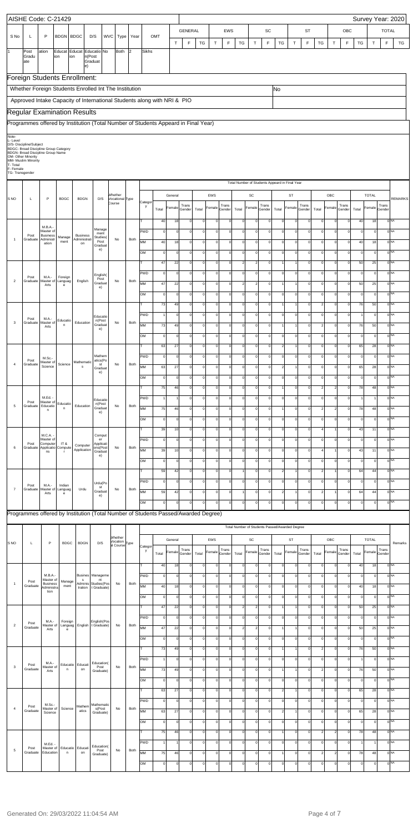|                                       |                         | AISHE Code: C-21429                                                                                           |                                            |                        |                                            |                                       |                                                  |      |                 |                      |                      |                            |                                            |               |                                      |                                       |                               |                                                |                               |                                  |                            |                                |                           |                            |                      |               |                        | Survey Year: 2020                  |
|---------------------------------------|-------------------------|---------------------------------------------------------------------------------------------------------------|--------------------------------------------|------------------------|--------------------------------------------|---------------------------------------|--------------------------------------------------|------|-----------------|----------------------|----------------------|----------------------------|--------------------------------------------|---------------|--------------------------------------|---------------------------------------|-------------------------------|------------------------------------------------|-------------------------------|----------------------------------|----------------------------|--------------------------------|---------------------------|----------------------------|----------------------|---------------|------------------------|------------------------------------|
| S No                                  | L                       | P                                                                                                             | <b>BDGN BDGC</b>                           |                        | D/S                                        | <b>WVC</b>                            | Type                                             | Year |                 | OMT                  |                      | <b>GENERAL</b>             |                                            |               | <b>EWS</b>                           |                                       |                               | SC                                             |                               |                                  | <b>ST</b>                  |                                |                           | OBC                        |                      |               | <b>TOTAL</b>           |                                    |
| $\overline{1}$                        | Post<br>Gradu           | ation                                                                                                         | Educat<br>ion                              | ion                    | Educat Educatio No<br>n(Post               |                                       | Both                                             | 2    | <b>Sikhs</b>    |                      | T                    | F                          | TG                                         | T             | F                                    | <b>TG</b>                             | $\top$                        | $\mathsf F$                                    | TG                            | $\top$                           | $\mathsf F$                | TG                             | T                         | F                          | TG                   | $\top$        | F                      | TG                                 |
|                                       | ate                     |                                                                                                               |                                            |                        | Graduat<br>e)                              |                                       |                                                  |      |                 |                      |                      |                            |                                            |               |                                      |                                       |                               |                                                |                               |                                  |                            |                                |                           |                            |                      |               |                        |                                    |
|                                       |                         | Foreign Students Enrollment:                                                                                  |                                            |                        |                                            |                                       |                                                  |      |                 |                      |                      |                            |                                            |               |                                      |                                       |                               |                                                |                               |                                  |                            |                                |                           |                            |                      |               |                        |                                    |
|                                       |                         | Whether Foreign Students Enrolled Int The Institution                                                         |                                            |                        |                                            |                                       |                                                  |      |                 |                      |                      |                            |                                            |               |                                      |                                       |                               |                                                | No                            |                                  |                            |                                |                           |                            |                      |               |                        |                                    |
|                                       |                         | Approved Intake Capacity of International Students along with NRI & PIO<br><b>Regular Examination Results</b> |                                            |                        |                                            |                                       |                                                  |      |                 |                      |                      |                            |                                            |               |                                      |                                       |                               |                                                |                               |                                  |                            |                                |                           |                            |                      |               |                        |                                    |
|                                       |                         | Programmes offered by Institution (Total Number of Students Appeard in Final Year)                            |                                            |                        |                                            |                                       |                                                  |      |                 |                      |                      |                            |                                            |               |                                      |                                       |                               |                                                |                               |                                  |                            |                                |                           |                            |                      |               |                        |                                    |
| Note-<br>L-Level                      | D/S- Discipline/Subject |                                                                                                               |                                            |                        |                                            |                                       |                                                  |      |                 |                      |                      |                            |                                            |               |                                      |                                       |                               |                                                |                               |                                  |                            |                                |                           |                            |                      |               |                        |                                    |
|                                       | OM- Other Minority      | BDGC- Broad Discipline Group Category<br>BDGN- Broad Discipline Group Name                                    |                                            |                        |                                            |                                       |                                                  |      |                 |                      |                      |                            |                                            |               |                                      |                                       |                               |                                                |                               |                                  |                            |                                |                           |                            |                      |               |                        |                                    |
| T-Total<br>F-Female<br>TG-Transgender | MM- Muslim Minority     |                                                                                                               |                                            |                        |                                            |                                       |                                                  |      |                 |                      |                      |                            |                                            |               |                                      |                                       |                               |                                                |                               |                                  |                            |                                |                           |                            |                      |               |                        |                                    |
|                                       |                         |                                                                                                               |                                            |                        |                                            |                                       |                                                  |      |                 |                      |                      |                            |                                            |               |                                      |                                       |                               | Total Number of Students Appeard in Final Year |                               |                                  |                            |                                |                           |                            |                      |               |                        |                                    |
| S <sub>NO</sub>                       | L                       | P                                                                                                             | <b>BDGC</b>                                | <b>BDGN</b>            |                                            | D/S                                   | Whether<br>Vocational Type                       |      |                 |                      | General              |                            |                                            | EWS           |                                      |                                       | SC                            |                                                |                               | <b>ST</b>                        |                            |                                | OBC                       |                            |                      | <b>TOTAL</b>  |                        | <b>REMARKS</b>                     |
|                                       |                         |                                                                                                               |                                            |                        |                                            |                                       | Course                                           |      | Categor<br>у    | Total                | Female               | Trans<br>Gender            | Total                                      | Female        | Trans<br>Gender                      | Total                                 | Female                        | Trans<br>Gender                                | Total                         | Female                           | Trans<br>Gender            | Total                          | Female                    | Trans<br>Gender            | Total                | Female        | Trans<br>Gender        |                                    |
|                                       | Post                    | M.B.A.-<br>Master of<br><b>Business</b>                                                                       | Manage                                     | <b>Business</b>        |                                            | Manage<br>ment<br>Studies(            |                                                  |      | т<br>PWD        | 40<br>$\mathbf 0$    | 18<br>$\mathbf 0$    | $\mathbf 0$<br>$\pmb{0}$   | $\mathbf 0$<br>$\mathbf 0$                 | 0             | $\circ$<br><sub>0</sub><br>$\circ$   | $\circ$<br>$\circ$                    | $\circ$<br>$\circ$            | $\Omega$<br>$\overline{0}$                     | $\pmb{0}$<br>$\circ$          | $\overline{0}$<br>$\overline{0}$ | $\Omega$<br>$\circ$        | $\mathsf{O}$<br>$\circ$        | $\Omega$<br>$\Omega$      | $\Omega$<br>$\mathbf 0$    | 40<br>$\mathsf 0$    | 18<br>$\circ$ |                        | 0 <sup>NA</sup><br>0 <sup>NA</sup> |
| $\overline{1}$                        | Graduate                | Administr<br>ation                                                                                            | ment                                       | Administrati<br>on     |                                            | Post<br>Graduat<br>e)                 | No                                               | Both | MM<br>OM        | 40<br>$\mathsf{O}$   | 18<br>$\mathbf 0$    | $\mathbf 0$<br>$\mathbf 0$ | $\circ$<br>$\mathbf 0$                     |               | <sub>0</sub><br> 0 <br>οI<br>$\circ$ | $\circ$<br>$\circ$                    | $\circ$<br>$\circ$            | $\overline{0}$<br>$\overline{0}$               | $\circ$<br>$\circ$            | $\circ$<br>$\circ$               | $\circ$<br>οl              | $\mathbf 0$<br>$\mathsf{O}$    | $\Omega$<br>$\Omega$      | $\circ$<br>$\circ$         | 40<br>$\mathsf 0$    | 18<br>$\circ$ |                        | 0 <sup>NA</sup><br>0 <sup>NA</sup> |
|                                       |                         |                                                                                                               |                                            |                        |                                            |                                       |                                                  |      | т               | 47                   | 22                   | $\pmb{0}$                  | $\circ$                                    |               | <sub>0</sub><br> 0                   | $2 \vert$                             | 2                             | $\overline{0}$                                 | $\overline{1}$                | $\mathbf{1}$                     | $\circ$                    | $\circ$                        | $\circ$                   | $\circ$                    | 50                   | 25            |                        | 0 <sup>NA</sup>                    |
| $\overline{2}$                        | Post<br>Graduate        | M.A.-<br>Master of                                                                                            | Foreign<br>Languag                         | English                |                                            | English(<br>Post                      | No                                               | Both | PWD             | $\mathsf{O}$         | $\mathbf 0$          | $\pmb{0}$                  | $\circ$                                    |               | <sub>0</sub><br>$\circ$              | $\circ$                               | $\circ$                       | $\overline{0}$                                 | $\circ$                       | $\circ$                          | $\circ$                    | $\circ$                        | $\circ$                   | $\overline{0}$             | $\mathsf 0$          | $\circ$       |                        | 0 <sup>NA</sup>                    |
|                                       |                         | Arts                                                                                                          | e                                          |                        |                                            | Graduat<br>e)                         |                                                  |      | MM<br>OM        | 47<br>$\Omega$       | 22<br>$\mathbf 0$    | $\pmb{0}$<br>$\mathbf 0$   | $\circ$<br>$\circ$                         |               | <sub>0</sub><br> 0 <br>οI<br>$\circ$ | $2 \vert$<br>$\circ$                  | 2<br>$\circ$                  | $\overline{0}$<br>$\overline{0}$               | $\overline{1}$<br>$\mathsf 0$ | $\mathbf{1}$<br>$\circ$          | $\circ$<br>οl              | $\mathbf 0$<br>$\circ$         | $\circ$<br>$\circ$        | $\circ$<br>$\circ$         | 50<br>$\mathsf 0$    | 25<br>$\circ$ |                        | 0 <sup>NA</sup><br>0 <sup>NA</sup> |
|                                       |                         |                                                                                                               |                                            |                        |                                            |                                       |                                                  |      | т               | 73                   | 49                   | $\pmb{0}$                  | $\circ$                                    |               | <sub>0</sub><br> 0                   | $\circ$                               | $\circ$                       | $\Omega$                                       | $\mathbf{1}$                  | $\mathbf{1}$                     | $\circ$                    | $\overline{2}$                 | $\circ$                   | $\Omega$                   | 76                   | 50            |                        | 0 <sup>NA</sup>                    |
| 3                                     | Post                    | M.A.-                                                                                                         | Educatio                                   | Education              |                                            | Educatio<br>n(Post                    | No                                               | Both | PWD             | 1                    | $\mathbf 0$          | $\mathbf 0$                | $\mathsf{O}\xspace$                        |               | <sub>0</sub><br>$\circ$              | $\circ$                               | $\circ$                       | $\Omega$                                       | $\mathsf 0$                   | $\Omega$                         | οI                         | $\Omega$                       | $\circ$                   | $\Omega$                   |                      | $\circ$       |                        | 0 <sup>NA</sup>                    |
|                                       |                         | Graduate   Master of<br>Arts                                                                                  |                                            |                        |                                            | Gradua<br>e)                          |                                                  |      | МM<br>OM        | 73<br>$\circ$        | $\mathbf 0$          | $\mathbf 0$                | $\mathsf{O}\xspace$                        |               | <sub>0</sub><br>$\circ$              | $\circ$                               | $\circ$                       | $\overline{0}$                                 | $\mathsf 0$                   | $\circ$                          | οl                         | $\circ$                        | $\circ$                   | $\overline{0}$             | 76<br>$\mathsf{o}$   | 50<br>$\circ$ | 0                      | ۹A<br>0 <sup>NA</sup>              |
|                                       |                         |                                                                                                               |                                            |                        |                                            |                                       |                                                  |      | т               | 63                   | 27                   | $\mathbf 0$                | $\mathsf{O}\xspace$                        |               | <sub>0</sub><br><sup>0</sup>         | $\circ$                               | $\circ$                       | $\overline{0}$                                 | $\sqrt{2}$                    | $\mathbf{1}$                     | οl                         | $\mathbf 0$                    | $\Omega$                  | $\circ$                    | 65                   | 28            |                        | 0 <sub>NA</sub>                    |
| $\overline{4}$                        | Post<br>Graduate        | M.Sc.-<br>Master of                                                                                           | Science                                    | Mathematic             |                                            | Mathem<br>atics(Po<br>st              | No                                               | Both | PWD             | $\circ$              | $\mathbf 0$          | $\mathbf 0$                | $\mathsf{O}\xspace$                        |               | οI<br>$\circ$                        | $\mathbf{0}$                          | $\circ$                       | $\Omega$                                       | $\mathbf 0$                   | $\circ$                          | $\Omega$                   | $\mathbf 0$                    | $\Omega$                  | $\Omega$                   | $\mathbf 0$          | $\circ$       |                        | 0 <sub>NA</sub>                    |
|                                       |                         | Science                                                                                                       |                                            | s                      |                                            | Graduat<br>e)                         |                                                  |      | <b>MM</b><br>OM | 63<br>$\circ$        | 27<br>$\mathbf 0$    | $\mathbf 0$<br>$\mathbf 0$ | $\mathsf{O}\xspace$<br>$\mathsf{O}\xspace$ |               | οI<br> 0 <br>οI<br>$\circ$           | $\circ$<br>$\mathbf{0}$               | $\circ$<br>$\circ$            | $\Omega$<br>$\Omega$                           | $\sqrt{2}$<br>$\mathbf 0$     | $\mathbf{1}$<br>$\circ$          | οI<br>οl                   | $\mathbf 0$<br>$\mathbf 0$     | $\Omega$<br>$\Omega$      | $\Omega$<br>$\circ$        | 65<br>$\mathsf 0$    | 28<br>$\circ$ |                        | 0 <sup>NA</sup><br>0 <sub>NA</sub> |
|                                       |                         |                                                                                                               |                                            |                        |                                            |                                       |                                                  |      | т               | 75                   | 46                   | $\mathbf 0$                | $\mathsf{O}\xspace$                        |               | οI<br> 0                             | $\mathbf{0}$                          | $\circ$                       | $\overline{0}$                                 | $\mathbf{1}$                  | $\circ$                          | οl                         | $\overline{2}$                 | $\overline{2}$            | $\circ$                    | 78                   | 48            |                        | 0 <sub>NA</sub>                    |
| 5                                     | Post<br>Graduate        | M.Ed. -<br>Master of<br>Educatio                                                                              | Educatio                                   | Education              |                                            | Educatio<br>n(Post                    | No                                               | Both | PWD             | $\mathbf{1}$         |                      | $\mathbf 0$                | $\mathsf{O}\xspace$                        |               | οI<br>$\circ$                        | $\mathbf{0}$                          | $\circ$                       | $\Omega$                                       | $\mathbf 0$                   | $\circ$                          | οl                         | $\mathbf 0$                    | $\Omega$                  | $\Omega$                   | 1                    | 1             |                        | 0 <sup>NA</sup>                    |
|                                       |                         | n                                                                                                             | $\mathsf{n}$                               |                        |                                            | Graduat<br>e)                         |                                                  |      | <b>MM</b><br>OM | 75<br>$\circ$        | 46<br>$\mathbf 0$    | $\mathbf 0$<br>$\mathbf 0$ | $\mathsf{O}\xspace$<br>$\mathsf{O}\xspace$ |               | οI<br> 0 <br>οI<br>$\circ$           | $\circ$<br>$\mathbf{0}$               | $\circ$<br>$\circ$            | $\Omega$<br>$\overline{0}$                     | $\circ$                       | $\Omega$<br>$\circ$              | οI<br>οl                   | 2<br>$\mathbf 0$               | $\mathcal{P}$<br>$\Omega$ | $\Omega$<br>$\circ$        | 78<br>$\mathsf 0$    | 48<br>$\circ$ |                        | 0 <sup>NA</sup><br>0 <sub>NA</sub> |
|                                       |                         |                                                                                                               |                                            |                        |                                            |                                       |                                                  |      | т               | 39                   | 10                   | $\mathbf 0$                | $\mathsf{O}\xspace$                        |               | <sub>0</sub><br> 0                   | $\circ$                               | $\circ$                       | $\overline{0}$                                 | $\circ$                       | $\circ$                          | $\circ$                    |                                |                           | $\circ$                    | 43                   | 11            |                        | 0 <sup>NA</sup>                    |
| 6                                     | Post<br>Graduate        | M.C.A.<br>Master of<br>Computer<br>Applicatio                                                                 | IT&<br>Compute                             | Computer               |                                            | Comput<br>er<br>Applicati<br>ons(Post | No                                               | Both | PWD             | $\mathbf 0$          | $\mathbf 0$          | $\mathbf 0$                | $\mathsf{O}\xspace$                        |               | οI<br>$\circ$                        | $\mathbf{0}$                          | $\circ$                       | $\Omega$                                       | $\mathbf 0$                   | $\circ$                          | οl                         | $\Omega$                       | $\Omega$                  | $\Omega$                   | $\mathbf 0$          | $\circ$       |                        | 0 <sup>NA</sup>                    |
|                                       |                         | ns                                                                                                            | T.                                         | Application            |                                            | Graduat<br>e)                         |                                                  |      | <b>MM</b><br>OM | 39<br>$\circ$        | 10<br>$\mathbf 0$    | $\mathbf 0$<br>$\mathbf 0$ | $\mathsf{O}\xspace$<br>$\mathsf{O}\xspace$ |               | οI<br><sup>0</sup><br>οI<br>$\circ$  | $\mathbf{0}$<br>$\mathbf{0}$          | $\circ$<br>$\circ$            | $\overline{0}$<br>$\overline{0}$               | $\circ$<br>$\circ$            | $\circ$<br>$\circ$               | οl<br>οl                   | $\mathbf 0$                    | $\Omega$                  | $\Omega$<br>$\circ$        | 43<br>$\mathsf 0$    | 11<br>$\circ$ |                        | 0 <sup>NA</sup><br>0 <sub>NA</sub> |
|                                       |                         |                                                                                                               |                                            |                        |                                            |                                       |                                                  |      | т               | 59                   | 42                   | $\mathbf 0$                | $\mathsf{O}\xspace$                        |               | <sub>0</sub><br> 0                   |                                       | $\circ$                       | $\overline{0}$                                 | $\sqrt{2}$                    | $\mathbf{1}$                     | οl                         | $\overline{2}$                 |                           | $\circ$                    | 64                   | 44            |                        | 0 <sup>NA</sup>                    |
| $\overline{7}$                        | Post<br>Graduate        | M.A.-<br>Master of                                                                                            | Indian<br>Languag                          | Urdu                   |                                            | Urdu(Po<br>st                         | No                                               | Both | PWD             | $\circ$              | $\mathbf 0$          | $\mathbf 0$                | $\mathsf{O}\xspace$                        |               | οI<br><sup>o</sup>                   | $\overline{0}$                        | $\circ$                       | $\Omega$                                       | $\mathbf 0$                   | $\overline{0}$                   | οl                         | $\Omega$                       | $\Omega$                  | $\Omega$                   | $\mathbf 0$          | $\circ$       |                        | 0 <sup>NA</sup>                    |
|                                       |                         | Arts                                                                                                          | e                                          |                        |                                            | Graduat<br>e)                         |                                                  |      | <b>MM</b><br>OM | 59<br>$\circ$        | 42<br>$\mathbf 0$    | $\mathbf 0$<br>$\mathbf 0$ | $\mathsf{O}\xspace$<br>$\mathsf{O}\xspace$ |               | <sub>0</sub><br> 0 <br>οI<br>$\circ$ | $\overline{0}$                        | $\circ$<br>$\circ$            | $\Omega$<br>$\Omega$                           | $\sqrt{2}$<br>$\mathsf 0$     | $\overline{1}$<br>$\overline{0}$ | οI<br>$\Omega$             | $\overline{2}$<br>$\mathsf{O}$ | $\Omega$                  | $\Omega$<br>$\mathbf 0$    | 64<br>$\mathbf 0$    | 44<br>$\circ$ |                        | 0 <sup>NA</sup><br>0 <sub>NA</sub> |
|                                       |                         | Programmes offered by Institution (Total Number of Students Passed/Awarded Degree)                            |                                            |                        |                                            |                                       |                                                  |      |                 |                      |                      |                            |                                            |               |                                      |                                       |                               |                                                |                               |                                  |                            |                                |                           |                            |                      |               |                        |                                    |
|                                       |                         |                                                                                                               |                                            |                        |                                            |                                       |                                                  |      |                 |                      |                      |                            |                                            |               |                                      |                                       |                               | Total Number of Students Passed/Awarded Degree |                               |                                  |                            |                                |                           |                            |                      |               |                        |                                    |
| S <sub>NO</sub>                       | L                       | $\mathsf P$                                                                                                   | <b>BDGC</b>                                | <b>BDGN</b>            |                                            | D/S                                   | Whether<br>Vocation<br>al Course <sup>Type</sup> |      |                 |                      | General              |                            |                                            | EWS           |                                      |                                       | SC                            |                                                |                               | ST                               |                            |                                | OBC                       |                            |                      | <b>TOTAL</b>  |                        | Remarks                            |
|                                       |                         |                                                                                                               |                                            |                        |                                            |                                       |                                                  |      | Categor<br>у    | Total                | Female               | Trans<br>Gender            | Total                                      | Female        | Trans<br>Gender                      | Total                                 | Female                        | Trans<br>Gender                                | Total                         | Female                           | Trans<br>Gender            | Total                          | Female                    | Trans<br>Gender            | Total                |               | Trans<br>Female Gender |                                    |
|                                       |                         |                                                                                                               |                                            |                        |                                            |                                       |                                                  |      |                 | 40                   | 18                   | $\Omega$                   | $\mathsf{O}\xspace$                        | $\Omega$      | $\mathbf 0$                          | $\circ$                               | $\mathbf 0$                   | $\Omega$                                       | $\mathsf 0$                   | $\circ$                          | $\Omega$                   | $\mathbf 0$                    |                           | $\Omega$                   | 40                   | 18            |                        | 0 <sup>NA</sup>                    |
| $\overline{1}$                        | Post<br>Graduate        | M.B.A.-<br>Master of<br><b>Business</b>                                                                       | Manage<br>ment                             | s                      | Busines   Manageme<br>Adminis Studies (Pos | nt                                    | No                                               | Both | PWD<br>MM       | $\mathbf 0$<br>40    | $\mathbf 0$<br>18    | $\mathbf 0$<br>$\mathbf 0$ | $\mathbf 0$<br>$\mathsf{O}\xspace$         | 0<br>$\Omega$ | $\circ$<br>$\mathbf 0$               | $\mathsf{O}\xspace$<br>$\overline{0}$ | $\mathbf 0$<br>$\mathbf 0$    | $\Omega$<br>$\Omega$                           | $\mathsf 0$<br>$\mathsf 0$    | $\Omega$<br>$\circ$              | $\mathbf 0$<br>$\Omega$    | $\Omega$<br>$\Omega$           |                           | $\Omega$<br>$\Omega$       | $\mathbf 0$<br>40    | $\circ$<br>18 |                        | 0 <sup>NA</sup><br>0 <sup>NA</sup> |
|                                       |                         | Administra<br>tion                                                                                            |                                            | tration                |                                            | t Graduate)                           |                                                  |      | OM              | $\mathbf 0$          | $\Omega$             | $\mathbf 0$                | $\mathbf 0$                                | $\Omega$      | $\circ$                              | $\overline{0}$                        | $\Omega$                      | $\Omega$                                       | $\mathbf 0$                   | $\Omega$                         | $\Omega$                   | $\Omega$                       |                           | $\Omega$                   | $\Omega$             | $\circ$       |                        | 0 <sup>NA</sup>                    |
|                                       |                         |                                                                                                               |                                            |                        |                                            |                                       |                                                  |      |                 | 47                   | 22                   | $\mathbf 0$                | $\mathbf 0$                                | $\Omega$      | $\mathbf 0$                          | $2 \vert$                             | $\overline{2}$                | $\Omega$                                       |                               | $\mathbf{1}$                     | $\Omega$                   | $\mathbf 0$                    |                           | $\Omega$                   | 50                   | 25            |                        | 0 <sup>NA</sup>                    |
| $\overline{2}$                        | Post<br>Graduate        | M.A.-<br>Master of<br>Arts                                                                                    | Foreign<br>Languag                         | English                |                                            | English(Pos<br>t Graduate)            | No                                               | Both | PWD<br>MM       | $\mathbf 0$<br>47    | $\Omega$<br>22       | $\mathbf 0$<br>$\mathbf 0$ | $\mathbf 0$<br>$\mathsf{O}\xspace$         | 0<br>$\Omega$ | $\mathbf 0$<br>$\circ$               | $\overline{0}$<br>$2 \vert$           | $\mathbf 0$<br>$\overline{2}$ | $\Omega$<br>$\Omega$                           | $\mathsf 0$                   | $\Omega$<br>$\mathbf{1}$         | $\Omega$<br>$\Omega$       | $\Omega$<br>$\mathbf 0$        |                           | $\Omega$<br>$\Omega$       | $\mathbf 0$<br>50    | $\circ$<br>25 |                        | 0 <sup>NA</sup><br>0 <sup>NA</sup> |
|                                       |                         |                                                                                                               | e                                          |                        |                                            |                                       |                                                  |      | OM              | $\mathbf 0$          | 0                    | $\mathbf 0$                | $\mathbf 0$                                |               | $\overline{0}$<br>$\mathbf{0}$       | $\overline{0}$                        | $\circ$                       | $\mathbf 0$                                    | 0                             | $\mathbf 0$                      | $\circ$                    | $\circ$                        | $\circ$                   | $\mathbf{0}$               | $\mathbf 0$          | $\circ$       |                        | 0 <sup>NA</sup>                    |
|                                       |                         |                                                                                                               |                                            |                        |                                            |                                       |                                                  |      | т               | 73                   | 49                   | $\mathbf 0$                | $\circ$                                    | 0             | 0                                    | $\overline{0}$                        | $\circ$                       | $\mathbf 0$                                    | $\mathbf{1}$                  | $\mathbf{1}$                     | $\Omega$                   | $\overline{2}$                 | $\Omega$                  | $\mathbf 0$                | 76                   | 50            |                        | 0 <sup>NA</sup>                    |
| 3                                     | Post<br>Graduate        | M.A.-<br>Master of                                                                                            | n                                          | Educatio Educati<br>on |                                            | Education(<br>Post                    | No                                               | Both | PWD<br>MM       | 73                   | $\mathbf 0$<br>49    | $\mathbf 0$<br>$\mathbf 0$ | $\mathbf 0$<br>$\mathbf 0$                 | 0<br>0        | 0 <br> 0                             | $\overline{0}$<br>$\overline{0}$      | $\circ$<br>$\circ$            | $\Omega$<br>$\mathbf 0$                        | $\mathsf 0$<br>$\mathbf{1}$   | $\circ$<br>1                     | $\mathbf 0$<br>$\Omega$    | $\mathsf{O}$<br>$\overline{2}$ | $\Omega$<br>$\Omega$      | $\mathbf 0$<br>$\mathbf 0$ | 76                   | $\circ$<br>50 |                        | 0 <sup>NA</sup><br>0 <sup>NA</sup> |
|                                       |                         | Arts                                                                                                          |                                            |                        |                                            | Graduate)                             |                                                  |      | OM              | $\mathbf 0$          | 0                    | $\mathbf 0$                | $\mathbf 0$                                | 0             | $\mathbf 0$                          | $\overline{0}$                        | $\mathbf 0$                   | $\mathbf 0$                                    | $\mathsf 0$                   | $\circ$                          | 0                          | $\mathsf{O}$                   | $\Omega$                  | $\mathbf 0$                | $\overline{0}$       | $\circ$       |                        | 0 <sup>NA</sup>                    |
|                                       |                         |                                                                                                               |                                            |                        |                                            |                                       |                                                  |      | т               | 63                   | 27                   | $\mathbf 0$                | $\circ$                                    | 0             | 0                                    | $\overline{0}$                        | $\mathbf 0$                   | $\mathbf 0$                                    | $\overline{2}$                | 1                                | $\mathbf 0$                | $\mathsf{O}$                   | $\Omega$                  | $\circ$                    | 65                   | 28            |                        | 0 <sup>NA</sup>                    |
| $\overline{4}$                        | Post<br>Graduate        | M.Sc.-<br>Master of                                                                                           | Science                                    | Mathem<br>atics        |                                            | Mathematic<br>s(Post                  | No                                               | Both | PWD<br>MM       | $\mathbf 0$<br>63    | $\mathbf 0$<br>27    | $\mathbf 0$<br>$\mathbf 0$ | $\mathbf 0$<br>$\mathbf 0$                 | 0<br>0        | 0 <br> 0                             | $\overline{0}$<br>$\overline{0}$      | $\mathbf 0$<br>$\circ$        | $\mathbf 0$<br>$\mathbf 0$                     | $\mathsf 0$<br>$\overline{2}$ | $\circ$<br>1                     | $\mathbf 0$<br>$\mathbf 0$ | $\mathsf{O}$<br>$\mathsf{O}$   | $\Omega$<br>$\Omega$      | $\mathbf 0$<br>$\mathbf 0$ | $\overline{0}$<br>65 | $\circ$<br>28 |                        | 0 <sup>NA</sup><br>0 <sup>NA</sup> |
|                                       |                         | Science                                                                                                       |                                            |                        |                                            | Graduate)                             |                                                  |      | OM              | $\mathbf 0$          | 0                    | $\mathbf 0$                | $\mathbf 0$                                | 0             | $\mathbf 0$                          | $\overline{0}$                        | $\mathbf 0$                   | $\mathbf 0$                                    | $\mathsf 0$                   | $\circ$                          | 0                          | $\mathbf 0$                    | $\Omega$                  | $\circ$                    | $\overline{0}$       | $\circ$       |                        | 0 <sup>NA</sup>                    |
|                                       |                         |                                                                                                               |                                            |                        |                                            |                                       |                                                  |      | т               | 75                   | 46                   | $\mathbf 0$                | $\mathbf 0$                                | 0             | 0                                    | $\overline{0}$                        | $\circ$                       | $\mathbf 0$                                    | $\mathbf{1}$                  | $\circ$                          | $\Omega$                   | $\overline{2}$                 |                           | $\circ$                    | 78                   | 48            |                        | 0 <sup>NA</sup>                    |
| 5                                     | Post<br>Graduate        | M.Ed. -<br>Education                                                                                          | Master of Educatio Educati<br>$\mathsf{n}$ | on                     |                                            | Education(<br>Post<br>Graduate)       | No                                               | Both | PWD<br>MM       | $\overline{1}$<br>75 | $\overline{1}$<br>46 | $\mathbf 0$<br>$\mathbf 0$ | $\circ$<br>$\mathbf 0$                     | 0<br>0        | 0 <br>$\mathbf 0$                    | $\overline{0}$<br>$\mathbf 0$         | $\circ$<br>$\mathbf 0$        | $\mathbf 0$<br>$\mathbf 0$                     | $\mathsf 0$                   | $\circ$<br>$\circ$               | $\mathbf 0$<br>$\mathbf 0$ | $\mathsf{O}$<br>$\overline{2}$ | $\Omega$                  | $\mathbf 0$<br>$\circ$     | 78                   | $\vert$<br>48 |                        | 0 <sup>NA</sup><br>0 <sup>NA</sup> |
|                                       |                         |                                                                                                               |                                            |                        |                                            |                                       |                                                  |      | OM              | $\mathbf 0$          | 0                    | $\mathbf 0$                | $\mathbf 0$                                | 0             | $\mathbf 0$                          | $\overline{0}$                        | $\mathbf 0$                   | $\mathbf 0$                                    | $\mathsf 0$                   | $\Omega$                         | 0                          | $\mathbf 0$                    | $\Omega$                  | $\Omega$                   | $\mathbf 0$          | $\circ$       |                        | 0 <sup>NA</sup>                    |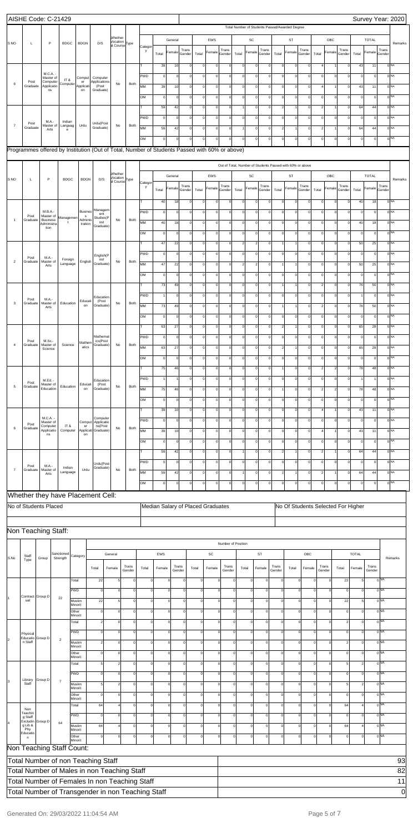|                 | AISHE Code: C-21429                                                                           |                                       |                        |                                |                                          |                                                  |                      |              |                   |                   |                            |                                            |                                   |                         |                         |                                                                  |                            |                           |                            |                                                           |                               |                                  |                            |                             |                   |                                    | Survey Year: 2020                  |
|-----------------|-----------------------------------------------------------------------------------------------|---------------------------------------|------------------------|--------------------------------|------------------------------------------|--------------------------------------------------|----------------------|--------------|-------------------|-------------------|----------------------------|--------------------------------------------|-----------------------------------|-------------------------|-------------------------|------------------------------------------------------------------|----------------------------|---------------------------|----------------------------|-----------------------------------------------------------|-------------------------------|----------------------------------|----------------------------|-----------------------------|-------------------|------------------------------------|------------------------------------|
|                 |                                                                                               |                                       |                        |                                |                                          |                                                  |                      |              |                   |                   |                            |                                            |                                   |                         |                         | Total Number of Students Passed/Awarded Degree                   |                            |                           |                            |                                                           |                               |                                  |                            |                             |                   |                                    |                                    |
| S <sub>NO</sub> | L                                                                                             | P                                     | <b>BDGC</b>            | <b>BDGN</b>                    | D/S                                      | Whether<br>/ocation<br>al Course <sup>Type</sup> |                      |              |                   | General           |                            |                                            | EWS                               |                         |                         | $\mathsf{SC}$                                                    |                            |                           | <b>ST</b>                  |                                                           |                               | OBC                              |                            |                             | <b>TOTAL</b>      |                                    | Remarks                            |
|                 |                                                                                               |                                       |                        |                                |                                          |                                                  |                      | Categor<br>y | Total             | Female            | Trans<br>Gender            | Total                                      | Female                            | Trans<br>Gender         | Total                   | Female                                                           | Trans<br>Gender            | Total                     | Female                     | Trans<br>Gender                                           | Total                         | Female                           | Trans<br>Gender            | Total                       | Female            | Trans<br>Gender                    |                                    |
|                 |                                                                                               |                                       |                        |                                |                                          |                                                  |                      | т            | 39                | 10                | $\mathbf 0$                | $\mathbf 0$                                | $\Omega$                          | $\circ$                 | $\Omega$                | $\Omega$                                                         | $\Omega$                   | $\circ$                   | $\Omega$                   | $\circ$                                                   | $\overline{a}$                |                                  | $\mathbf 0$                | 43                          | 11                |                                    | 0 <sup>NA</sup>                    |
|                 |                                                                                               | M.C.A. -<br>Master of                 | IT&                    | Comput                         | Computer                                 |                                                  |                      | <b>PWD</b>   | $\mathbf 0$       | $\Omega$          | $\mathbf 0$                | $\mathsf{O}\xspace$                        | $\mathbf 0$                       | $\circ$                 | $\mathsf{O}\xspace$     | $\Omega$                                                         | $\Omega$                   | $\circ$                   | $\Omega$                   | $\circ$                                                   | $\mathbf 0$                   | $\overline{0}$                   | $\mathbf 0$                | $\mathbf 0$                 | $\circ$           |                                    | 0 <sup>NA</sup>                    |
| $\,6\,$         | Post<br>Graduate                                                                              | Computer<br>Applicatio<br>ns          | Computer               | er<br>Applicati<br>on          | Applications<br>(Post<br>Graduate)       | No                                               | Both                 | MM           | 39                | 10                | $\mathbf 0$                | $\mathsf{O}\xspace$                        | $\circ$                           | $\circ$                 |                         | $\circ$<br>$\Omega$                                              | $\mathbf{0}$               | $\circ$                   | $\circ$                    | $\mathbf 0$                                               | $\overline{4}$                | $\mathbf{1}$                     | 0                          | 43                          | 11                |                                    | 0 <sup>NA</sup>                    |
|                 |                                                                                               |                                       |                        |                                |                                          |                                                  |                      | OM           | $\mathsf{O}$      | $\Omega$          | $\mathbf 0$                | $\mathbf 0$                                | $\circ$                           | $\circ$                 | $\mathbf 0$             | $\Omega$                                                         | $\Omega$                   | $\circ$                   | $\Omega$                   | $\circ$                                                   | $\mathbf 0$                   | $\overline{0}$                   | $\mathbf 0$                | $\mathbf 0$                 | $\circ$           |                                    | 0 <sup>NA</sup>                    |
|                 |                                                                                               |                                       |                        |                                |                                          |                                                  |                      |              | 59                | 42                | $\mathbf 0$                | $\mathbf 0$                                | $\Omega$                          | $\circ$                 |                         | $\Omega$                                                         | $\mathbf{0}$               | $\overline{2}$            |                            | $\circ$                                                   | $\overline{2}$                |                                  | $\mathbf 0$                | 64                          | 44                |                                    | 0 <sup>NA</sup>                    |
| $\overline{7}$  | Post                                                                                          | M.A.-<br>Master of                    | Indian<br>Languag      | Urdu                           | Urdu(Post                                | No                                               | Both                 | <b>PWD</b>   | $\mathbf 0$       | $\Omega$          | $\mathbf 0$                | $\mathbf 0$                                | $\circ$                           | $\circ$                 | $\mathbf 0$             | $\Omega$                                                         | $\Omega$                   | $\circ$                   | $\Omega$                   | $\Omega$                                                  | $\mathbf 0$                   | $\overline{0}$                   | $\mathbf 0$                | $\Omega$                    | $\circ$           |                                    | 0 <sup>NA</sup>                    |
|                 | Graduate                                                                                      | Arts                                  | e                      |                                | Graduate)                                |                                                  |                      | MM<br>OM     | 59<br>$\circ$     | 42<br>$\Omega$    | $\mathbf 0$<br>$\mathbf 0$ | $\mathbf 0$<br>$\mathsf{O}\xspace$         | $\circ$<br>$\Omega$               | $\circ$<br>$\circ$      | 1<br>$\mathbf 0$        | $\Omega$<br>$\mathbf 0$                                          | $\mathbf{0}$<br>$\Omega$   | $\overline{2}$<br>$\circ$ | $\Omega$                   | $\circ$<br>$\circ$                                        | $\overline{2}$<br>$\Omega$    | $\overline{0}$                   | $\mathbf 0$<br> 0          | 64<br>$\mathbf 0$           | 44<br>$\circ$     |                                    | 0 <sup>NA</sup><br>0 <sup>NA</sup> |
|                 | Programmes offered by Institution (Out of Total, Number of Students Passed with 60% or above) |                                       |                        |                                |                                          |                                                  |                      |              |                   |                   |                            |                                            |                                   |                         |                         |                                                                  |                            |                           |                            |                                                           |                               |                                  |                            |                             |                   |                                    |                                    |
|                 |                                                                                               |                                       |                        |                                |                                          |                                                  |                      |              |                   |                   |                            |                                            |                                   |                         |                         |                                                                  |                            |                           |                            |                                                           |                               |                                  |                            |                             |                   |                                    |                                    |
|                 |                                                                                               |                                       |                        |                                |                                          |                                                  |                      |              |                   |                   |                            |                                            |                                   |                         |                         |                                                                  |                            |                           |                            | Out of Total, Number of Students Passed with 60% or above |                               |                                  |                            |                             |                   |                                    |                                    |
| S <sub>NO</sub> | $\mathsf L$                                                                                   | P                                     | <b>BDGC</b>            | <b>BDGN</b>                    | D/S                                      | Whether<br>Vocation<br>al Course <sup>Type</sup> |                      | Categor      |                   | General           |                            |                                            | EWS                               |                         |                         | SC                                                               |                            |                           | <b>ST</b>                  |                                                           |                               | OBC                              |                            |                             | <b>TOTAL</b>      |                                    | Remarks                            |
|                 |                                                                                               |                                       |                        |                                |                                          |                                                  |                      | y            | Total             | Female            | Trans<br>Gender            | Total                                      | Female                            | Trans<br>Gender         | Total                   | Female                                                           | Trans<br>Gender            | Total                     | Female                     | Trans<br>Gender                                           | Total                         | Female                           | Trans<br>Gender            | Total                       | Female            | Trans<br>Gender                    |                                    |
|                 |                                                                                               |                                       |                        |                                |                                          |                                                  |                      |              | 40                | 18                | $\mathbf 0$                | $\mathbf 0$                                | $\mathbf 0$                       | $\circ$                 | $\mathbf 0$             | $\Omega$                                                         |                            | $\circ$                   | $\mathbf 0$                | $\circ$                                                   | $^{\circ}$                    | $\overline{0}$                   | $\mathbf 0$                | 40                          | 18                |                                    | 0 <sup>NA</sup>                    |
|                 | Post                                                                                          | M.B.A.<br>Master of                   | Managemen              | <b>Busines</b><br>$\mathsf{s}$ | Managem<br>ent<br>Studies(P              |                                                  |                      | PWD          | $\mathbf 0$       | $\mathbf 0$       | $\pmb{0}$                  | $\mathsf{O}\xspace$                        | $\mathbf 0$                       | $\circ$                 |                         | $\overline{0}$<br>0                                              | $\mathbf 0$                | $\circ$                   | $\mathbf 0$                | $\mathbf 0$                                               | $^{\circ}$                    | $\overline{0}$                   | $\mathbf 0$                | $\mathbf 0$                 | $\mathbf 0$       |                                    | ONA                                |
| $\overline{1}$  | Graduate                                                                                      | <b>Business</b><br>Administra<br>tion |                        | Adminis<br>tration             | ost<br>Graduate)                         | No                                               | Both                 | <b>MM</b>    | 40                | 18                | $\mathbf 0$                | $\mathsf{O}\xspace$                        | $\mathbf 0$                       | $\circ$                 |                         | $\overline{0}$<br>$\circ$                                        | $\mathbf 0$                | $\circ$                   | $\Omega$                   | $\mathbf 0$                                               | $\circ$                       | $\overline{0}$                   | $\mathbf 0$                | 40                          | 18                |                                    | 0 <sup>NA</sup>                    |
|                 |                                                                                               |                                       |                        |                                |                                          |                                                  |                      | <b>OM</b>    | $\mathbf 0$       | $\Omega$          | $\mathbf 0$                | $\mathbf 0$                                | $\mathbf 0$                       | $\circ$                 | $\mathbf 0$             | $\Omega$                                                         | $\Omega$                   | $\circ$                   | $\Omega$                   | $\Omega$                                                  | $\circ$                       | $\overline{0}$                   | $\mathbf 0$                | $\mathbf 0$                 | $\mathbf 0$       |                                    | ONA                                |
|                 |                                                                                               |                                       |                        |                                |                                          |                                                  |                      | PWD          | 47<br>$\mathbf 0$ | 22<br>$\mathbf 0$ | $\mathbf 0$<br>$\mathbf 0$ | $\mathsf{O}\xspace$<br>$\mathsf{O}\xspace$ | $\mathbf 0$<br>$\mathbf 0$        | $\circ$<br>$\circ$      |                         | $\overline{2}$<br>$\overline{\mathbf{c}}$<br>$\overline{0}$<br>0 | $\mathbf 0$<br>$\mathbf 0$ | $\circ$                   | $\mathbf 0$                | $\circ$<br>$\mathbf 0$                                    | $\circ$<br>$^{\circ}$         | $\overline{0}$<br>$\overline{0}$ | $\mathbf 0$<br>$\mathbf 0$ | 50<br>$\mathbf 0$           | 25<br>$\mathbf 0$ |                                    | 0 <sup>NA</sup><br>ONA             |
| $\overline{2}$  | Post<br>Graduate                                                                              | M.A.-<br>Master of                    | Foreign<br>Language    | English                        | English(P<br>ost<br>Graduate)            | No                                               | Both                 | <b>MM</b>    | 47                | 22                | $\mathbf 0$                | $\mathsf{O}\xspace$                        | $\mathbf 0$                       | $\circ$                 |                         | $\overline{2}$<br>$\overline{2}$                                 | $\mathbf 0$                |                           |                            | $\circ$                                                   | $\circ$                       | $\overline{0}$                   | $\mathbf 0$                | 50                          | 25                |                                    | 0 <sup>NA</sup>                    |
|                 |                                                                                               | Arts                                  |                        |                                |                                          |                                                  |                      | <b>OM</b>    | $\mathbf 0$       | $\Omega$          | $\mathbf 0$                | $\mathbf 0$                                | $\mathbf 0$                       | $\circ$                 | $\mathbf 0$             | $\Omega$                                                         | $\Omega$                   | $\circ$                   | $\Omega$                   | $\Omega$                                                  | $\circ$                       | $\overline{0}$                   | $\mathbf 0$                | $\mathbf 0$                 | $\mathbf 0$       |                                    | ONA                                |
|                 |                                                                                               |                                       |                        |                                |                                          |                                                  |                      |              | 73                | 49                | $\mathbf 0$                | $\mathsf{O}\xspace$                        | $\mathbf 0$                       | $\circ$                 | $\mathbf 0$             | $\circ$                                                          | $\mathbf 0$                |                           |                            | $\circ$                                                   | $\overline{2}$                | $\overline{0}$                   | $\mathbf 0$                | 76                          | 50                |                                    | 0 <sup>NA</sup>                    |
|                 | Post                                                                                          | M.A.-                                 |                        |                                | Education                                |                                                  |                      | PWD          | 1                 | $\mathbf 0$       | $\mathbf 0$                | $\mathsf{O}\xspace$                        | $\mathbf 0$                       | $\circ$                 |                         | $\circ$<br>$\circ$                                               | $\mathbf 0$                | $\circ$                   | $\mathbf 0$                | $\mathbf 0$                                               | $\mathbf 0$                   | $\overline{0}$                   | $\mathbf 0$                | 1                           | $\mathbf 0$       |                                    | 0 NA                               |
| 3               | Graduate                                                                                      | Master of<br>Arts                     | Education              | Educati<br>on                  | (Post<br>Graduate)                       | No                                               | Both                 | MM           | 73                | 49                | $\mathbf 0$                | $\mathbf 0$                                | $\mathbf 0$                       | $\circ$                 | $\mathbf 0$             | $\circ$                                                          | $\Omega$                   |                           |                            | $\circ$                                                   | $\overline{2}$                | $\overline{0}$                   | $\mathbf 0$                | 76                          | 50                |                                    | 0 <sup>NA</sup>                    |
|                 |                                                                                               |                                       |                        |                                |                                          |                                                  |                      | OM           | $\mathbf 0$       | $\mathbf 0$       | $\mathbf 0$                | $\mathbf 0$                                | $\mathbf 0$                       | $\mathbf 0$             | $\mathbf 0$             | $\Omega$                                                         |                            | $\Omega$                  | $\Omega$                   | $\Omega$                                                  | $\Omega$                      | $\Omega$                         | $\mathbf 0$                | $\mathbf 0$                 | $\mathbf 0$       |                                    | ONA                                |
|                 |                                                                                               |                                       |                        |                                |                                          |                                                  |                      |              | 63                | 27                | $\pmb{0}$                  | 0                                          | $\mathbf 0$                       | $\mathbf 0$             | 0                       |                                                                  |                            |                           |                            |                                                           | $\mathbf 0$                   | $\overline{0}$                   | $\pmb{0}$                  | 65                          | 28                |                                    | 0 <sub>NA</sub>                    |
| $\overline{4}$  | Post<br>Graduate                                                                              | M.Sc.-<br>Master of                   | Science                | Mathem                         | Mathemat<br>ics(Post<br>Graduate)        | No                                               | Both                 | PWD          | $\pmb{0}$         | $\circ$           | 0                          | $\mathbf 0$                                | $\circ$                           | $\mathbf{0}$            |                         | $\overline{0}$<br>$\circ$                                        | $\mathbf 0$                | $\overline{0}$            | $\mathbf 0$                | $\mathbf 0$                                               | $\mathbf 0$                   | $\overline{0}$                   | $\circ$                    | $\mathbf 0$                 | $\mathbf 0$       |                                    | 0 <sub>NA</sub>                    |
|                 |                                                                                               | Science                               |                        | atics                          |                                          |                                                  |                      | <b>MM</b>    | 63                | 27                | 0                          | $\mathsf{O}\xspace$                        | $\circ$                           | $\circ$                 |                         | $\overline{0}$<br>$\circ$                                        | $\mathbf 0$                | 2                         |                            | $\mathbf 0$                                               | $\mathbf 0$                   | $\overline{0}$                   | 0                          | 65                          | 28                |                                    | 0 <sub>NA</sub><br>0 <sub>NA</sub> |
|                 |                                                                                               |                                       |                        |                                |                                          |                                                  |                      | OM           | $\mathbf 0$<br>75 | $\circ$<br>46     | $\mathbf 0$<br>$\mathbf 0$ | $\mathsf{O}\xspace$<br>$\mathsf{O}\xspace$ | 0 <br> 0                          | $\circ$<br>$\circ$      |                         | $\overline{0}$<br>$\mathbf 0$<br>$\overline{0}$<br>$\circ$       | $\mathbf 0$<br>$\mathbf 0$ | $\circ$<br>$\mathbf{1}$   | $\mathbf 0$<br>$\mathbf 0$ | $\mathbf 0$<br>$\mathbf 0$                                | $\mathbf 0$<br>$\overline{2}$ | $\overline{0}$<br>$\overline{2}$ | $\mathbf{0}$<br> 0         | $\mathbf 0$<br>78           | $\mathbf 0$<br>48 |                                    | 0 <sub>NA</sub>                    |
|                 |                                                                                               | M.Ed. -                               |                        |                                | Education                                |                                                  |                      | PWD          | $\overline{1}$    |                   | $\mathbf 0$                | $\mathsf{O}\xspace$                        | $\mathbf 0$                       | $\circ$                 |                         | $\overline{0}$<br>$\Omega$                                       | $\mathbf 0$                | $\circ$                   | $\mathbf 0$                | $\mathbf 0$                                               | $\mathbf 0$                   | $\overline{0}$                   | $\circ$                    | $\mathbf{1}$                | 1                 |                                    | 0 <sup>NA</sup>                    |
| 5               | Post<br>Graduate                                                                              | Master of<br>Education                | Education              | Educati<br>on                  | (Post<br>Graduate)                       | No                                               | Both                 | <b>MM</b>    | 75                | 46                | $\mathbf 0$                | $\mathsf{O}\xspace$                        | $\mathbf 0$                       | $\circ$                 |                         | $\circ$<br>$\circ$                                               | $\mathbf 0$                |                           | $\mathbf 0$                | $\mathbf 0$                                               | $\overline{\mathbf{c}}$       | $\overline{2}$                   | 0                          | 78                          | 48                |                                    | 0 <sup>NA</sup>                    |
|                 |                                                                                               |                                       |                        |                                |                                          |                                                  |                      | OM           | $\mathbf 0$       | $\circ$           | $\mathbf 0$                | $\mathsf{O}\xspace$                        | $\mathbf 0$                       | $\circ$                 |                         | $\overline{0}$<br>0                                              | $\mathbf 0$                | $\circ$                   | $\mathbf 0$                | $\mathbf 0$                                               | $\mathbf 0$                   | $\overline{0}$                   | $\circ$                    | $\mathbf 0$                 | $\mathbf 0$       |                                    | 0 <sup>NA</sup>                    |
|                 |                                                                                               |                                       |                        |                                |                                          |                                                  |                      |              | 39                | 10                | $\mathbf 0$                | $\mathsf{O}\xspace$                        | $\circ$                           | $\circ$                 |                         | $\overline{0}$<br>$\circ$                                        | $\mathbf 0$                | $\circ$                   | $\mathbf 0$                | $\mathbf 0$                                               | $\overline{4}$                | $\mathbf{1}$                     | 0                          | 43                          | 11                |                                    | 0 <sup>NA</sup>                    |
|                 | Post                                                                                          | M.C.A.<br>Master of<br>Computer       | IT&                    | er                             | Computer<br>Comput Applicatio<br>ns(Post |                                                  |                      | PWD          | $\mathbf 0$       | $\mathbf 0$       | $\mathbf 0$                | $\mathsf{O}\xspace$                        | $\mathbf 0$                       | $\circ$                 |                         | $\overline{0}$<br>$\Omega$                                       | $\mathbf 0$                | $\circ$                   | $\mathbf 0$                | $\mathbf 0$                                               | $\mathbf 0$                   | $\overline{0}$                   | $\mathbf 0$                | $\mathbf 0$                 | $\mathbf 0$       |                                    | 0 <sup>NA</sup>                    |
| 6               | Graduate                                                                                      | Applicatio<br>ns                      | Computer               | Applicati<br>on                | Graduate)                                | No                                               | Both                 | <b>MM</b>    | 39                | 10                | $\mathbf 0$                | $\mathsf{O}\xspace$                        | $\mathbf 0$                       | $\circ$                 |                         | $\circ$<br>$\circ$                                               | $\mathbf 0$                | $\circ$                   | $\mathbf 0$                | $\mathbf 0$                                               |                               | $\mathbf{1}$                     | 0                          | 43                          | 11                |                                    | 0 <sup>NA</sup>                    |
|                 |                                                                                               |                                       |                        |                                |                                          |                                                  |                      | OM           | $\mathbf 0$       | $\mathbf 0$       | $\mathbf 0$                | $\mathsf{O}\xspace$                        | $\mathbf 0$                       | $\circ$                 |                         | $\overline{0}$<br>$\circ$                                        | $\mathbf 0$                | $\circ$                   | $\mathbf 0$                | $\mathbf 0$                                               | $\mathbf 0$                   | $\overline{0}$                   | $\mathbf 0$                | $\mathbf 0$                 | $\mathbf 0$       |                                    | 0 <sub>NA</sub>                    |
|                 |                                                                                               |                                       |                        |                                |                                          |                                                  |                      | PWD          | 59<br>$\mathbf 0$ | 42<br>$\mathbf 0$ | $\mathbf 0$<br>$\mathbf 0$ | $\mathsf{O}\xspace$                        | $\circ$<br>$\mathbf 0$            | $\circ$<br>$\mathbf{0}$ |                         | $\circ$<br>$\overline{0}$<br>$\mathbf 0$                         | $\mathbf 0$<br>$\mathbf 0$ | $\overline{2}$<br>$\circ$ | $\mathbf 0$                | $\mathbf 0$<br>$\mathbf 0$                                | $\overline{2}$<br>$\mathbf 0$ | $\mathbf{1}$<br>$\overline{0}$   | 0 <br>$\mathbf 0$          | 64<br>$\mathbf 0$           | 44<br>$\mathbf 0$ |                                    | 0 <sub>NA</sub><br>0 <sub>NA</sub> |
| $\overline{7}$  | Post<br>Graduate                                                                              | M.A.-<br>Master of                    | Indian<br>Language     | Urdu                           | Urdu(Post<br>Graduate)                   | No                                               | Both                 | <b>MM</b>    | 59                | 42                | $\mathbf 0$                | $\mathsf{O}\xspace$<br>$\mathsf{O}\xspace$ | $\mathbf 0$                       | $\circ$                 |                         | $\circ$                                                          | $\mathbf 0$                | 2                         |                            | $\mathbf 0$                                               | $\overline{2}$                | $\mathbf{1}$                     | $\mathbf 0$                | 64                          | 44                |                                    | 0 <sup>NA</sup>                    |
|                 |                                                                                               | Arts                                  |                        |                                |                                          |                                                  |                      | OM           | $\mathbf 0$       | $\mathbf 0$       | $\mathbf 0$                | $\mathsf{O}\xspace$                        | $\mathbf 0$                       | $\circ$                 | $\mathbf 0$             | 0                                                                | 0                          | $\circ$                   | $\mathbf 0$                | $\mathbf 0$                                               | $\mathbf 0$                   | $\overline{0}$                   | $\mathbf{0}$               | $\mathsf{O}\xspace$         | $\mathbf 0$       |                                    | 0 <sub>NA</sub>                    |
|                 | Whether they have Placement Cell:                                                             |                                       |                        |                                |                                          |                                                  |                      |              |                   |                   |                            |                                            |                                   |                         |                         |                                                                  |                            |                           |                            |                                                           |                               |                                  |                            |                             |                   |                                    |                                    |
|                 | No of Students Placed                                                                         |                                       |                        |                                |                                          |                                                  |                      |              |                   |                   |                            |                                            | Median Salary of Placed Graduates |                         |                         |                                                                  |                            |                           |                            | No Of Students Selected For Higher                        |                               |                                  |                            |                             |                   |                                    |                                    |
|                 |                                                                                               |                                       |                        |                                |                                          |                                                  |                      |              |                   |                   |                            |                                            |                                   |                         |                         |                                                                  |                            |                           |                            |                                                           |                               |                                  |                            |                             |                   |                                    |                                    |
|                 |                                                                                               |                                       |                        |                                |                                          |                                                  |                      |              |                   |                   |                            |                                            |                                   |                         |                         |                                                                  |                            |                           |                            |                                                           |                               |                                  |                            |                             |                   |                                    |                                    |
|                 | Non Teaching Staff:                                                                           |                                       |                        |                                |                                          |                                                  |                      |              |                   |                   |                            |                                            |                                   |                         |                         |                                                                  |                            |                           |                            |                                                           |                               |                                  |                            |                             |                   |                                    |                                    |
|                 |                                                                                               |                                       |                        |                                |                                          |                                                  |                      |              |                   |                   |                            |                                            |                                   | Number of Position      |                         |                                                                  |                            |                           |                            |                                                           |                               |                                  |                            |                             |                   |                                    |                                    |
| S.No            | Staff<br>Type                                                                                 | Group                                 | Sanctioned<br>Strength | Category                       |                                          | General                                          |                      |              | EWS               |                   |                            |                                            | SC                                |                         |                         |                                                                  | ST                         |                           |                            | OBC                                                       |                               |                                  |                            | <b>TOTAL</b>                |                   |                                    | Remarks                            |
|                 |                                                                                               |                                       |                        |                                | Total                                    | Female                                           | Trans<br>Gender      | Total        | Female            |                   | Trans<br>Gender            | Total                                      | Female                            | Trans<br>Gender         |                         | Total                                                            | Female                     | Trans<br>Gender           | Total                      | Female                                                    |                               | Trans<br>Gender                  | Total                      | Female                      | Trans<br>Gender   |                                    |                                    |
|                 |                                                                                               |                                       | Total                  |                                | 22                                       |                                                  | $\Omega$             | $\Omega$     |                   | $\mathbf 0$       | $\Omega$                   | $\mathbf 0$                                |                                   | $\Omega$                | $\mathbf 0$             | $\mathbf 0$                                                      | $\circ$                    |                           |                            | $\mathsf{o}$                                              | $\Omega$                      | $\mathbf 0$                      | 22                         | $\sqrt{5}$                  |                   | 0 <sub>NA</sub>                    |                                    |
|                 | Contract Group D                                                                              |                                       | <b>PWD</b><br>22       |                                | $\circ$                                  | $\Omega$                                         | $\Omega$             | $\Omega$     |                   | $\mathbf 0$       | $\Omega$                   | $\mathsf{O}\xspace$                        |                                   | $\Omega$                | $\mathbf 0$             | $\mathsf{O}\xspace$                                              | $\circ$                    | $\Omega$                  |                            | $\mathbf 0$                                               | $\circ$                       | $\pmb{0}$                        | $\circ$                    | $\circ$                     |                   | 0 <sub>NA</sub>                    |                                    |
|                 | ual                                                                                           |                                       | Other                  | Muslim<br>Minorit              | 22<br>$\pmb{0}$                          | 5                                                | $\Omega$<br>$\Omega$ | $\Omega$     |                   | 0 <br>$\Omega$    | $\Omega$<br>$\Omega$       | $\mathbf 0$<br>$\overline{0}$              |                                   | $\Omega$                | $\mathbf 0$<br>$\Omega$ | $\mathbf 0$<br>$\mathsf{O}\xspace$                               | $\circ$<br>$\Omega$        | $\Omega$                  |                            | $\mathsf{o}$<br>$\Omega$                                  | $\circ$<br>$\mathbf 0$        | $\pmb{0}$<br>$\mathbf 0$         | 22<br>$\circ$              | 5 <sub>5</sub><br>$\pmb{0}$ |                   | 0 <sub>NA</sub><br>0 <sub>NA</sub> |                                    |
|                 |                                                                                               |                                       |                        | Minorit                        |                                          |                                                  |                      |              |                   |                   |                            |                                            |                                   |                         |                         |                                                                  |                            |                           |                            |                                                           |                               |                                  |                            |                             |                   |                                    |                                    |

|                                                                                                                                                                                                                                                                                                                                    |                  |                           | Total             |                                                   |          |  | $\Omega$ |                |  |             |          |               |            |            | $\Omega$     |            |          |               |                | n <sub>NA</sub> |    |
|------------------------------------------------------------------------------------------------------------------------------------------------------------------------------------------------------------------------------------------------------------------------------------------------------------------------------------|------------------|---------------------------|-------------------|---------------------------------------------------|----------|--|----------|----------------|--|-------------|----------|---------------|------------|------------|--------------|------------|----------|---------------|----------------|-----------------|----|
| Physical                                                                                                                                                                                                                                                                                                                           | Educatio Group D | $\overline{2}$            | PWD               | $\Omega$                                          |          |  | $\Omega$ | $\Omega$       |  | $\Omega$    |          | c             |            |            | $\mathbf{0}$ | $\Omega$   | O        | C             | $\Omega$       | n <sub>NA</sub> |    |
| n Staff                                                                                                                                                                                                                                                                                                                            |                  |                           | Muslim<br>Minorit | $\overline{2}$                                    | $\Omega$ |  | $\Omega$ | $\Omega$       |  | $\Omega$    | $\Omega$ | C             |            |            | $\Omega$     | $\Omega$   | $\Omega$ | $\mathcal{P}$ | $\Omega$       | 0 <sup>NA</sup> |    |
|                                                                                                                                                                                                                                                                                                                                    |                  |                           | Other<br>Minorit  | $\Omega$                                          |          |  | $\Omega$ | $\Omega$       |  | $\Omega$    |          | $\Omega$<br>C | $\sqrt{2}$ |            | $\Omega$     | $\Omega$   |          | C             | $\Omega$       | nNA             |    |
|                                                                                                                                                                                                                                                                                                                                    |                  |                           | Total             | 5                                                 |          |  | $\Omega$ |                |  | $\Omega$    |          |               | $\Omega$   |            | $\Omega$     | $\Omega$   | $\Omega$ | 5             | $\mathfrak{p}$ | 0 <sub>NA</sub> |    |
| Library                                                                                                                                                                                                                                                                                                                            | Group D          |                           | PWD               | $\Omega$                                          |          |  | $\Omega$ | $\Omega$       |  | $\Omega$    |          |               |            |            | $\Omega$     | $\Omega$   |          | C             | $\Omega$       | 0 <sub>N</sub>  |    |
| $\overline{7}$<br>Staff<br>nNA<br>Muslim<br>$\Omega$<br>$\Omega$<br>$\Omega$<br>$\Omega$<br>$\overline{2}$<br>$\Omega$<br>Minorit<br>0 <sub>NA</sub><br>Other<br>$\Omega$<br>$\Omega$<br>$\Omega$<br>$\Omega$<br>C<br>$\Omega$<br>$\sqrt{2}$<br>$\Omega$<br>$\Omega$<br>ſ<br>Minorit<br>$\Omega$<br>$\Omega$<br>C<br>$\Omega$<br>c |                  |                           |                   |                                                   |          |  |          |                |  |             |          |               |            |            |              |            |          |               |                |                 |    |
| 0 <sup>NA</sup><br>64<br>64<br>$\Omega$<br>$\Omega$<br>Total<br>$\Omega$<br>Non                                                                                                                                                                                                                                                    |                  |                           |                   |                                                   |          |  |          |                |  |             |          |               |            |            |              |            |          |               |                |                 |    |
| Teachin                                                                                                                                                                                                                                                                                                                            |                  |                           |                   |                                                   |          |  |          |                |  |             |          |               |            |            |              |            |          |               |                |                 |    |
| g Staff                                                                                                                                                                                                                                                                                                                            | Excludin Group D | 64                        | PWD               | $\Omega$                                          |          |  | $\Omega$ | $\Omega$       |  | $\Omega$    |          |               |            |            | $\Omega$     | $\Omega$   |          | C             |                | nNA             |    |
| g Lib &<br>Phy<br>Educatio                                                                                                                                                                                                                                                                                                         |                  |                           | Muslim<br>Minorit | 64                                                |          |  | $\Omega$ |                |  | $\Omega$    |          | $\Omega$      |            |            | $\Omega$     | $\sqrt{ }$ |          | 64            |                | nNA             |    |
| n                                                                                                                                                                                                                                                                                                                                  |                  |                           | Other<br>Minorit  | $\mathbf{0}$                                      | n        |  | $\Omega$ | $\overline{0}$ |  | $\mathbf 0$ | $\Omega$ | C             | $\Omega$   | $\epsilon$ | $\mathbf{0}$ | $\Omega$   | $\Omega$ | $\Omega$      | $\Omega$       | 0 <sub>N</sub>  |    |
|                                                                                                                                                                                                                                                                                                                                    |                  | Non Teaching Staff Count: |                   |                                                   |          |  |          |                |  |             |          |               |            |            |              |            |          |               |                |                 |    |
|                                                                                                                                                                                                                                                                                                                                    |                  |                           |                   | Total Number of non Teaching Staff                |          |  |          |                |  |             |          |               |            |            |              |            |          |               |                |                 | 93 |
|                                                                                                                                                                                                                                                                                                                                    |                  |                           |                   | Total Number of Males in non Teaching Staff       |          |  |          |                |  |             |          |               |            |            |              |            |          |               |                |                 | 82 |
|                                                                                                                                                                                                                                                                                                                                    |                  |                           |                   | Total Number of Females In non Teaching Staff     |          |  |          |                |  |             |          |               |            |            |              |            |          |               |                |                 | 11 |
|                                                                                                                                                                                                                                                                                                                                    |                  |                           |                   | Total Number of Transgender in non Teaching Staff |          |  |          |                |  |             |          |               |            |            |              |            |          |               |                |                 | 0  |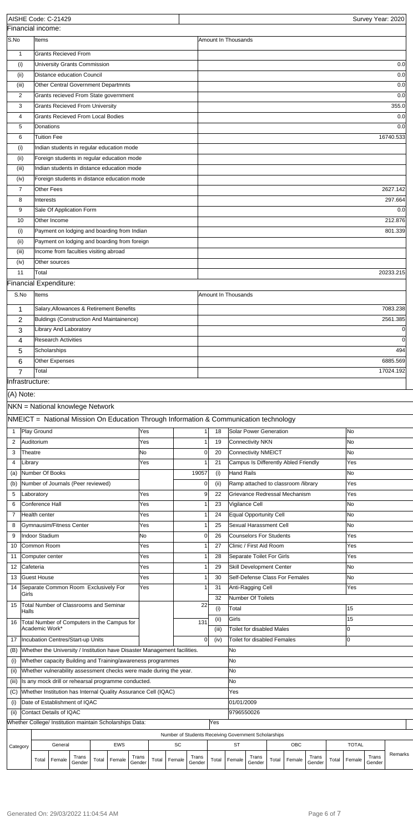| AISHE Code: C-21429                                                                                                      |                               |                                                                                                                           |        |       |            |        |       |                                                      |          |                        |                     |                                  |       |                                                                      |        |       |              |        | Survey Year: 2020 |
|--------------------------------------------------------------------------------------------------------------------------|-------------------------------|---------------------------------------------------------------------------------------------------------------------------|--------|-------|------------|--------|-------|------------------------------------------------------|----------|------------------------|---------------------|----------------------------------|-------|----------------------------------------------------------------------|--------|-------|--------------|--------|-------------------|
| Financial income:                                                                                                        |                               |                                                                                                                           |        |       |            |        |       |                                                      |          |                        |                     |                                  |       |                                                                      |        |       |              |        |                   |
| S.No                                                                                                                     | Items                         |                                                                                                                           |        |       |            |        |       |                                                      |          |                        | Amount In Thousands |                                  |       |                                                                      |        |       |              |        |                   |
| $\mathbf{1}$                                                                                                             |                               | <b>Grants Recieved From</b>                                                                                               |        |       |            |        |       |                                                      |          |                        |                     |                                  |       |                                                                      |        |       |              |        |                   |
| (i)                                                                                                                      |                               | University Grants Commission                                                                                              |        |       |            |        |       |                                                      |          |                        |                     |                                  |       |                                                                      |        |       |              |        | 0.0               |
| (ii)                                                                                                                     |                               | Distance education Council                                                                                                |        |       |            |        |       |                                                      |          |                        |                     |                                  |       |                                                                      |        |       |              |        | 0.0               |
| (iii)                                                                                                                    |                               | Other Central Government Departmnts                                                                                       |        |       |            |        |       |                                                      |          |                        |                     |                                  |       |                                                                      |        |       |              |        | 0.0               |
| 2<br>3                                                                                                                   |                               | Grants recieved From State government<br><b>Grants Recieved From University</b>                                           |        |       |            |        |       |                                                      |          |                        |                     |                                  |       |                                                                      |        |       |              |        | 0.0<br>355.0      |
| 4                                                                                                                        |                               | <b>Grants Recieved From Local Bodies</b>                                                                                  |        |       |            |        |       |                                                      |          |                        |                     |                                  |       |                                                                      |        |       |              |        | 0.0               |
| 5                                                                                                                        |                               | Donations                                                                                                                 |        |       |            |        |       |                                                      |          |                        |                     |                                  |       |                                                                      |        |       |              |        | 0.0               |
| 6                                                                                                                        |                               | Tuition Fee                                                                                                               |        |       |            |        |       |                                                      |          |                        |                     |                                  |       |                                                                      |        |       |              |        | 16740.533         |
| (i)                                                                                                                      |                               | Indian students in regular education mode                                                                                 |        |       |            |        |       |                                                      |          |                        |                     |                                  |       |                                                                      |        |       |              |        |                   |
| (ii)                                                                                                                     |                               | Foreign students in regular education mode                                                                                |        |       |            |        |       |                                                      |          |                        |                     |                                  |       |                                                                      |        |       |              |        |                   |
| (iii)                                                                                                                    |                               | Indian students in distance education mode                                                                                |        |       |            |        |       |                                                      |          |                        |                     |                                  |       |                                                                      |        |       |              |        |                   |
| (iv)                                                                                                                     |                               | Foreign students in distance education mode                                                                               |        |       |            |        |       |                                                      |          |                        |                     |                                  |       |                                                                      |        |       |              |        |                   |
| $\overline{7}$                                                                                                           |                               | Other Fees                                                                                                                |        |       |            |        |       |                                                      |          |                        |                     |                                  |       |                                                                      |        |       |              |        | 2627.142          |
| 8                                                                                                                        | Interests                     |                                                                                                                           |        |       |            |        |       |                                                      |          |                        |                     |                                  |       |                                                                      |        |       |              |        | 297.664           |
| 9                                                                                                                        |                               | Sale Of Application Form                                                                                                  |        |       |            |        |       |                                                      |          |                        |                     |                                  |       |                                                                      |        |       |              |        | 0.0               |
| 10                                                                                                                       |                               | Other Income                                                                                                              |        |       |            |        |       |                                                      |          |                        |                     |                                  |       |                                                                      |        |       |              |        | 212.876           |
| (i)                                                                                                                      |                               | Payment on lodging and boarding from Indian                                                                               |        |       |            |        |       |                                                      |          |                        |                     |                                  |       |                                                                      |        |       |              |        | 801.339           |
| (ii)                                                                                                                     |                               | Payment on lodging and boarding from foreign                                                                              |        |       |            |        |       |                                                      |          |                        |                     |                                  |       |                                                                      |        |       |              |        |                   |
| (iii)                                                                                                                    |                               | Income from faculties visiting abroad                                                                                     |        |       |            |        |       |                                                      |          |                        |                     |                                  |       |                                                                      |        |       |              |        |                   |
| (iv)<br>11                                                                                                               | Total                         | <b>Other sources</b>                                                                                                      |        |       |            |        |       |                                                      |          |                        |                     |                                  |       |                                                                      |        |       |              |        | 20233.215         |
| Financial Expenditure:                                                                                                   |                               |                                                                                                                           |        |       |            |        |       |                                                      |          |                        |                     |                                  |       |                                                                      |        |       |              |        |                   |
| S.No                                                                                                                     | Items                         |                                                                                                                           |        |       |            |        |       |                                                      |          |                        | Amount In Thousands |                                  |       |                                                                      |        |       |              |        |                   |
|                                                                                                                          |                               |                                                                                                                           |        |       |            |        |       |                                                      |          |                        |                     |                                  |       |                                                                      |        |       |              |        |                   |
| 1                                                                                                                        |                               | Salary, Allowances & Retirement Benefits                                                                                  |        |       |            |        |       |                                                      |          |                        |                     |                                  |       |                                                                      |        |       |              |        | 7083.238          |
| $\overline{2}$                                                                                                           |                               | Buldings (Construction And Maintainence)                                                                                  |        |       |            |        |       |                                                      |          |                        |                     |                                  |       |                                                                      |        |       |              |        | 2561.385          |
| 3                                                                                                                        |                               | Library And Laboratory                                                                                                    |        |       |            |        |       |                                                      |          |                        |                     |                                  |       |                                                                      |        |       |              |        | $\Omega$          |
| 4                                                                                                                        |                               | <b>Research Activities</b>                                                                                                |        |       |            |        |       |                                                      |          |                        |                     |                                  |       |                                                                      |        |       |              |        | $\Omega$          |
| 5                                                                                                                        |                               | Scholarships<br>Other Expenses                                                                                            |        |       |            |        |       |                                                      |          |                        |                     |                                  |       |                                                                      |        |       |              |        | 494<br>6885.569   |
| 6<br>$\overline{7}$                                                                                                      | Total                         |                                                                                                                           |        |       |            |        |       |                                                      |          |                        |                     |                                  |       |                                                                      |        |       |              |        | 17024.192         |
| Infrastructure:                                                                                                          |                               |                                                                                                                           |        |       |            |        |       |                                                      |          |                        |                     |                                  |       |                                                                      |        |       |              |        |                   |
| NKN = National knowlege Network<br>NMEICT = National Mission On Education Through Information & Communication technology |                               |                                                                                                                           |        |       |            |        |       |                                                      |          |                        |                     |                                  |       |                                                                      |        |       |              |        |                   |
| $\mathbf{1}$                                                                                                             | Play Ground                   |                                                                                                                           |        |       |            | lYes   |       |                                                      |          | 1 <sup>1</sup><br>18   |                     | Solar Power Generation           |       |                                                                      |        |       | No           |        |                   |
| $\overline{2}$                                                                                                           | Auditorium                    |                                                                                                                           |        |       |            | Yes    |       |                                                      |          | 19                     |                     | Connectivity NKN                 |       |                                                                      |        |       | No           |        |                   |
| 3                                                                                                                        | Theatre                       |                                                                                                                           |        |       |            | No     |       |                                                      |          | $\Omega$<br>20         |                     | Connectivity NMEICT              |       |                                                                      |        |       | No           |        |                   |
| 4                                                                                                                        | Library                       |                                                                                                                           |        |       |            | Yes    |       |                                                      |          | 21                     |                     |                                  |       | Campus Is Differently Abled Friendly                                 |        |       | Yes          |        |                   |
| (a)                                                                                                                      |                               | Number Of Books                                                                                                           |        |       |            |        |       |                                                      | 19057    | (i)                    | Hand Rails          |                                  |       |                                                                      |        |       | No           |        |                   |
| (b)                                                                                                                      |                               | Number of Journals (Peer reviewed)                                                                                        |        |       |            | Yes    |       |                                                      | $\Omega$ | (ii)<br>9<br>22        |                     |                                  |       | Ramp attached to classroom /library<br>Grievance Redressal Mechanism |        |       | Yes<br>Yes   |        |                   |
| 5<br>6                                                                                                                   | Laboratory<br>Conference Hall |                                                                                                                           |        |       |            | Yes    |       |                                                      |          | 23                     |                     | Vigilance Cell                   |       |                                                                      |        |       | No           |        |                   |
| 7                                                                                                                        | Health center                 |                                                                                                                           |        |       |            | Yes    |       |                                                      |          | 24                     |                     | Equal Opportunity Cell           |       |                                                                      |        |       | No           |        |                   |
| 8                                                                                                                        |                               | Gymnausim/Fitness Center                                                                                                  |        |       |            | Yes    |       |                                                      |          | 25                     |                     | Sexual Harassment Cell           |       |                                                                      |        |       | No           |        |                   |
| 9                                                                                                                        | Indoor Stadium                |                                                                                                                           |        |       |            | No     |       |                                                      | $\Omega$ | 26                     |                     | Counselors For Students          |       |                                                                      |        |       | Yes          |        |                   |
| 10                                                                                                                       | Common Room                   |                                                                                                                           |        |       |            | Yes    |       |                                                      |          | 27                     |                     | Clinic / First Aid Room          |       |                                                                      |        |       | Yes          |        |                   |
| 11                                                                                                                       | Computer center               |                                                                                                                           |        |       |            | Yes    |       |                                                      |          | 28                     |                     | Separate Toilet For Girls        |       |                                                                      |        |       | Yes          |        |                   |
| 12                                                                                                                       | Cafeteria                     |                                                                                                                           |        |       |            | Yes    |       |                                                      |          | 29                     |                     | Skill Development Center         |       |                                                                      |        |       | No           |        |                   |
| 13                                                                                                                       | Guest House                   |                                                                                                                           |        |       |            | Yes    |       |                                                      |          | 30                     |                     |                                  |       | Self-Defense Class For Females                                       |        |       | No           |        |                   |
| 14                                                                                                                       |                               | Separate Common Room Exclusively For                                                                                      |        |       |            | Yes    |       |                                                      |          | 31                     |                     | Anti-Ragging Cell                |       |                                                                      |        |       | Yes          |        |                   |
| Girls                                                                                                                    |                               |                                                                                                                           |        |       |            |        |       |                                                      |          | 32                     |                     | Number Of Toilets                |       |                                                                      |        |       |              |        |                   |
| 15<br>Halls                                                                                                              |                               | Total Number of Classrooms and Seminar                                                                                    |        |       |            |        |       |                                                      | 22       | (i)                    | Total               |                                  |       |                                                                      |        |       | 15           |        |                   |
| 16                                                                                                                       |                               | Total Number of Computers in the Campus for                                                                               |        |       |            |        |       |                                                      | 131      | (ii)                   | Girls               |                                  |       |                                                                      |        |       | 15           |        |                   |
|                                                                                                                          | Academic Work*                |                                                                                                                           |        |       |            |        |       |                                                      |          | (iii)                  |                     | <b>Toilet for disabled Males</b> |       |                                                                      |        |       | lo           |        |                   |
| 17                                                                                                                       |                               | Incubation Centres/Start-up Units                                                                                         |        |       |            |        |       |                                                      |          | $\overline{0}$<br>(iv) |                     | Toilet for disabled Females      |       |                                                                      |        |       | IО           |        |                   |
| (B)                                                                                                                      |                               | Whether the University / Institution have Disaster Management facilities.                                                 |        |       |            |        |       |                                                      |          |                        | No                  |                                  |       |                                                                      |        |       |              |        |                   |
| (i)                                                                                                                      |                               | Whether capacity Building and Training/awareness programmes                                                               |        |       |            |        |       |                                                      |          |                        | No                  |                                  |       |                                                                      |        |       |              |        |                   |
| (iii)                                                                                                                    |                               | Whether vulnerability assessment checks were made during the year.<br>Is any mock drill or rehearsal programme conducted. |        |       |            |        |       |                                                      |          |                        | No<br>No            |                                  |       |                                                                      |        |       |              |        |                   |
| (iii)<br>(C)                                                                                                             |                               | Whether Institution has Internal Quality Assurance Cell (IQAC)                                                            |        |       |            |        |       |                                                      |          |                        | Yes                 |                                  |       |                                                                      |        |       |              |        |                   |
| (i)                                                                                                                      |                               | Date of Establishment of IQAC                                                                                             |        |       |            |        |       |                                                      |          |                        | 01/01/2009          |                                  |       |                                                                      |        |       |              |        |                   |
| (i)                                                                                                                      |                               | Contact Details of IQAC                                                                                                   |        |       |            |        |       |                                                      |          |                        | 9796550026          |                                  |       |                                                                      |        |       |              |        |                   |
| Whether College/ Institution maintain Scholarships Data:                                                                 |                               |                                                                                                                           |        |       |            |        |       |                                                      |          | Yes                    |                     |                                  |       |                                                                      |        |       |              |        |                   |
|                                                                                                                          |                               |                                                                                                                           |        |       |            |        |       | Number of Students Receiving Government Scholarships |          |                        |                     |                                  |       |                                                                      |        |       |              |        |                   |
| Category                                                                                                                 |                               | General                                                                                                                   |        |       | <b>EWS</b> |        |       | SC                                                   |          |                        | ST                  |                                  |       | OBC                                                                  |        |       | <b>TOTAL</b> |        |                   |
|                                                                                                                          | Total                         | Female                                                                                                                    | Trans  | Total | Female     | Trans  | Total | Female                                               | Trans    | Total                  | Female              | Trans                            | Total | Female                                                               | Trans  | Total | Female       | Trans  | Remarks           |
|                                                                                                                          |                               |                                                                                                                           | Gender |       |            | Gender |       |                                                      | Gender   |                        |                     | Gender                           |       |                                                                      | Gender |       |              | Gender |                   |